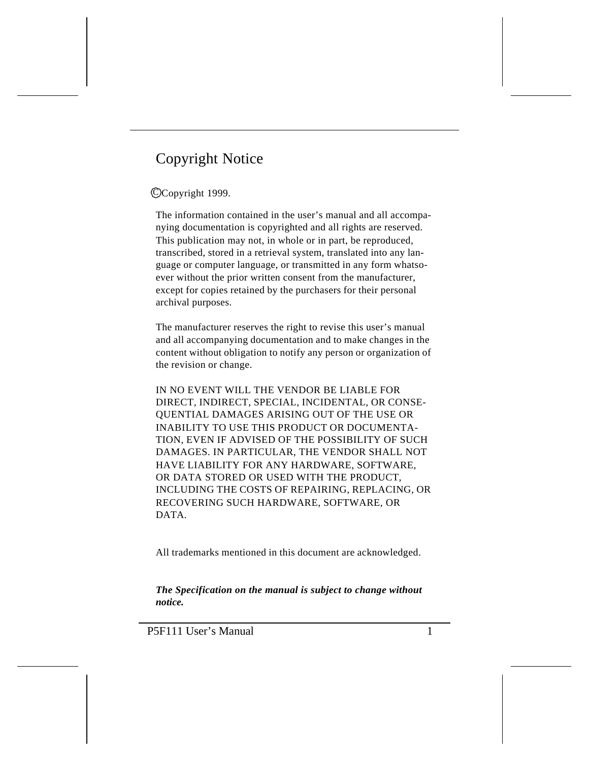# Copyright Notice

## CCopyright 1999.

The information contained in the user's manual and all accompanying documentation is copyrighted and all rights are reserved. This publication may not, in whole or in part, be reproduced, transcribed, stored in a retrieval system, translated into any language or computer language, or transmitted in any form whatsoever without the prior written consent from the manufacturer, except for copies retained by the purchasers for their personal archival purposes.

The manufacturer reserves the right to revise this user's manual and all accompanying documentation and to make changes in the content without obligation to notify any person or organization of the revision or change.

IN NO EVENT WILL THE VENDOR BE LIABLE FOR DIRECT, INDIRECT, SPECIAL, INCIDENTAL, OR CONSE-QUENTIAL DAMAGES ARISING OUT OF THE USE OR INABILITY TO USE THIS PRODUCT OR DOCUMENTA-TION, EVEN IF ADVISED OF THE POSSIBILITY OF SUCH DAMAGES. IN PARTICULAR, THE VENDOR SHALL NOT HAVE LIABILITY FOR ANY HARDWARE, SOFTWARE, OR DATA STORED OR USED WITH THE PRODUCT, INCLUDING THE COSTS OF REPAIRING, REPLACING, OR RECOVERING SUCH HARDWARE, SOFTWARE, OR DATA.

All trademarks mentioned in this document are acknowledged.

*The Specification on the manual is subject to change without notice.*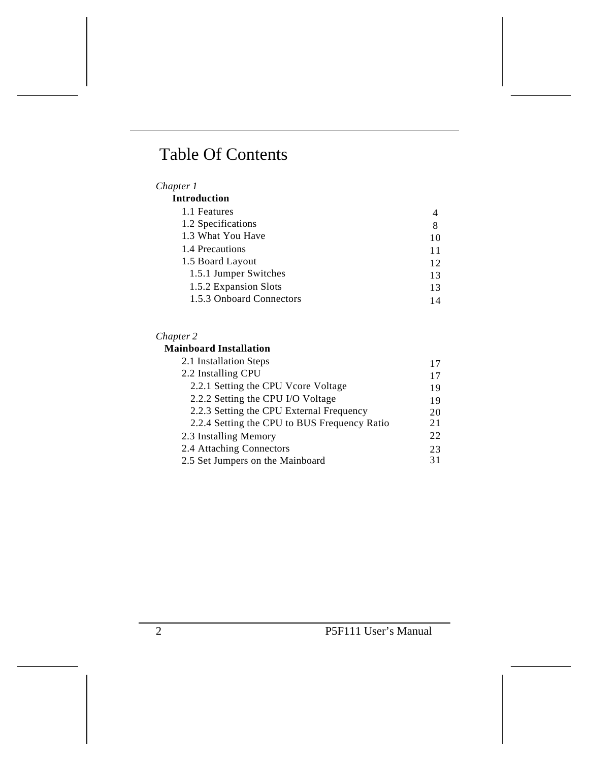# Table Of Contents

## *Chapter 1*

| <b>Introduction</b>      |    |  |
|--------------------------|----|--|
| 1.1 Features             |    |  |
| 1.2 Specifications       | 8  |  |
| 1.3 What You Have        | 10 |  |
| 1.4 Precautions          | 11 |  |
| 1.5 Board Layout         | 12 |  |
| 1.5.1 Jumper Switches    | 13 |  |
| 1.5.2 Expansion Slots    | 13 |  |
| 1.5.3 Onboard Connectors | 14 |  |

### *Chapter 2*

### **Mainboard Installation**

| 2.1 Installation Steps                       | 17 |
|----------------------------------------------|----|
| 2.2 Installing CPU                           | 17 |
| 2.2.1 Setting the CPU Vcore Voltage          | 19 |
| 2.2.2 Setting the CPU I/O Voltage            | 19 |
| 2.2.3 Setting the CPU External Frequency     | 20 |
| 2.2.4 Setting the CPU to BUS Frequency Ratio | 21 |
| 2.3 Installing Memory                        | 22 |
| 2.4 Attaching Connectors                     | 23 |
| 2.5 Set Jumpers on the Mainboard             | 31 |
|                                              |    |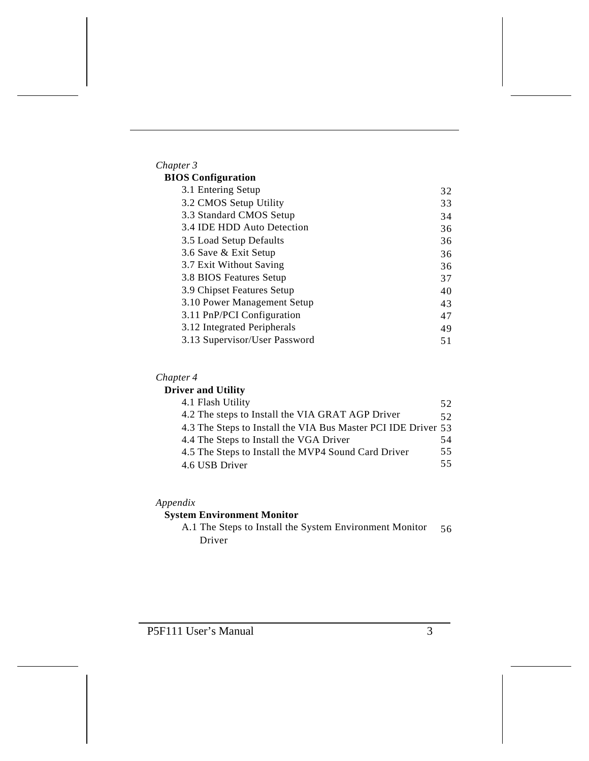| Chapter 3                     |    |
|-------------------------------|----|
| <b>BIOS</b> Configuration     |    |
| 3.1 Entering Setup            | 32 |
| 3.2 CMOS Setup Utility        | 33 |
| 3.3 Standard CMOS Setup       | 34 |
| 3.4 IDE HDD Auto Detection    | 36 |
| 3.5 Load Setup Defaults       | 36 |
| 3.6 Save & Exit Setup         | 36 |
| 3.7 Exit Without Saving       | 36 |
| 3.8 BIOS Features Setup       | 37 |
| 3.9 Chipset Features Setup    | 40 |
| 3.10 Power Management Setup   | 43 |
| 3.11 PnP/PCI Configuration    | 47 |
| 3.12 Integrated Peripherals   | 49 |
| 3.13 Supervisor/User Password | 51 |

# *Chapter 4*

# **Driver and Utility**

| 4.1 Flash Utility                                             | 52 |
|---------------------------------------------------------------|----|
| 4.2 The steps to Install the VIA GRAT AGP Driver              | 52 |
| 4.3 The Steps to Install the VIA Bus Master PCI IDE Driver 53 |    |
| 4.4 The Steps to Install the VGA Driver                       | 54 |
| 4.5 The Steps to Install the MVP4 Sound Card Driver           | 55 |
| 4.6 USB Driver                                                | 55 |

## *Appendix*

# **System Environment Monitor**

A.1 The Steps to Install the System Environment Monitor Driver 56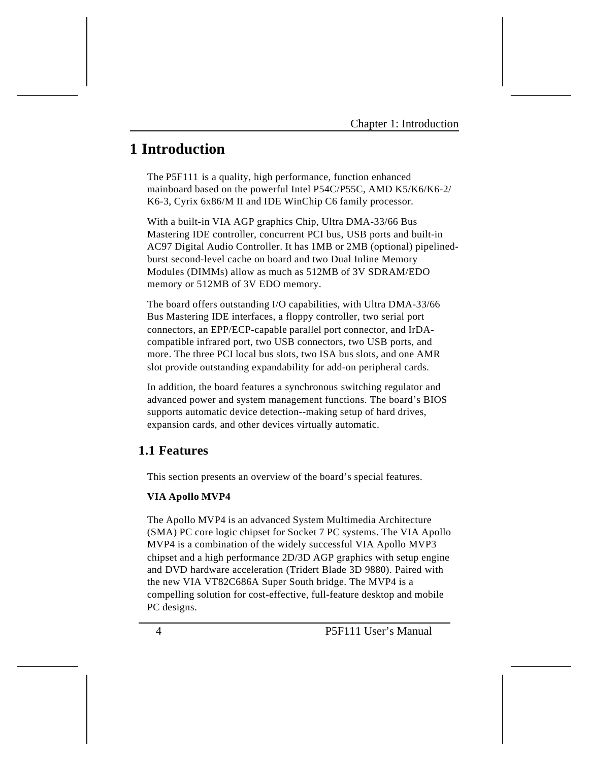# **1 Introduction**

The P5F111 is a quality, high performance, function enhanced mainboard based on the powerful Intel P54C/P55C, AMD K5/K6/K6-2/ K6-3, Cyrix 6x86/M II and IDE WinChip C6 family processor.

With a built-in VIA AGP graphics Chip, Ultra DMA-33/66 Bus Mastering IDE controller, concurrent PCI bus, USB ports and built-in AC97 Digital Audio Controller. It has 1MB or 2MB (optional) pipelinedburst second-level cache on board and two Dual Inline Memory Modules (DIMMs) allow as much as 512MB of 3V SDRAM/EDO memory or 512MB of 3V EDO memory.

The board offers outstanding I/O capabilities, with Ultra DMA-33/66 Bus Mastering IDE interfaces, a floppy controller, two serial port connectors, an EPP/ECP-capable parallel port connector, and IrDAcompatible infrared port, two USB connectors, two USB ports, and more. The three PCI local bus slots, two ISA bus slots, and one AMR slot provide outstanding expandability for add-on peripheral cards.

In addition, the board features a synchronous switching regulator and advanced power and system management functions. The board's BIOS supports automatic device detection--making setup of hard drives, expansion cards, and other devices virtually automatic.

# **1.1 Features**

This section presents an overview of the board's special features.

### **VIA Apollo MVP4**

The Apollo MVP4 is an advanced System Multimedia Architecture (SMA) PC core logic chipset for Socket 7 PC systems. The VIA Apollo MVP4 is a combination of the widely successful VIA Apollo MVP3 chipset and a high performance 2D/3D AGP graphics with setup engine and DVD hardware acceleration (Tridert Blade 3D 9880). Paired with the new VIA VT82C686A Super South bridge. The MVP4 is a compelling solution for cost-effective, full-feature desktop and mobile PC designs.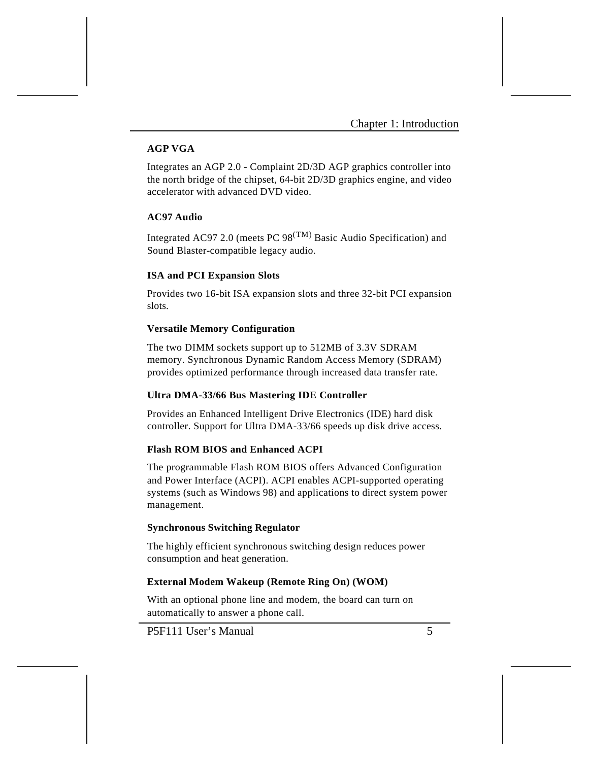## **AGP VGA**

Integrates an AGP 2.0 - Complaint 2D/3D AGP graphics controller into the north bridge of the chipset, 64-bit 2D/3D graphics engine, and video accelerator with advanced DVD video.

## **AC97 Audio**

Integrated AC97 2.0 (meets PC  $98^{(TM)}$  Basic Audio Specification) and Sound Blaster-compatible legacy audio.

#### **ISA and PCI Expansion Slots**

Provides two 16-bit ISA expansion slots and three 32-bit PCI expansion slots.

#### **Versatile Memory Configuration**

The two DIMM sockets support up to 512MB of 3.3V SDRAM memory. Synchronous Dynamic Random Access Memory (SDRAM) provides optimized performance through increased data transfer rate.

#### **Ultra DMA-33/66 Bus Mastering IDE Controller**

Provides an Enhanced Intelligent Drive Electronics (IDE) hard disk controller. Support for Ultra DMA-33/66 speeds up disk drive access.

#### **Flash ROM BIOS and Enhanced ACPI**

The programmable Flash ROM BIOS offers Advanced Configuration and Power Interface (ACPI). ACPI enables ACPI-supported operating systems (such as Windows 98) and applications to direct system power management.

#### **Synchronous Switching Regulator**

The highly efficient synchronous switching design reduces power consumption and heat generation.

#### **External Modem Wakeup (Remote Ring On) (WOM)**

With an optional phone line and modem, the board can turn on automatically to answer a phone call.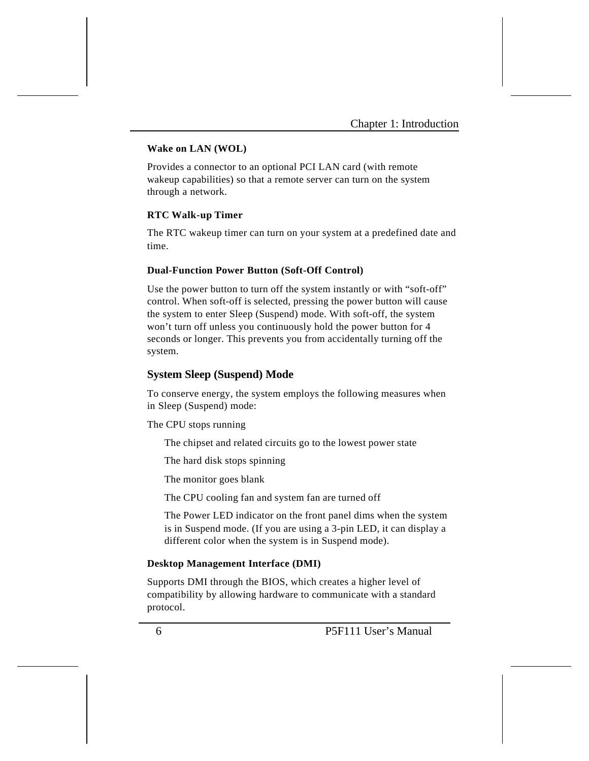### **Wake on LAN (WOL)**

Provides a connector to an optional PCI LAN card (with remote wakeup capabilities) so that a remote server can turn on the system through a network.

#### **RTC Walk-up Timer**

The RTC wakeup timer can turn on your system at a predefined date and time.

#### **Dual-Function Power Button (Soft-Off Control)**

Use the power button to turn off the system instantly or with "soft-off" control. When soft-off is selected, pressing the power button will cause the system to enter Sleep (Suspend) mode. With soft-off, the system won't turn off unless you continuously hold the power button for 4 seconds or longer. This prevents you from accidentally turning off the system.

## **System Sleep (Suspend) Mode**

To conserve energy, the system employs the following measures when in Sleep (Suspend) mode:

#### The CPU stops running

The chipset and related circuits go to the lowest power state

The hard disk stops spinning

The monitor goes blank

The CPU cooling fan and system fan are turned off

The Power LED indicator on the front panel dims when the system is in Suspend mode. (If you are using a 3-pin LED, it can display a different color when the system is in Suspend mode).

#### **Desktop Management Interface (DMI)**

Supports DMI through the BIOS, which creates a higher level of compatibility by allowing hardware to communicate with a standard protocol.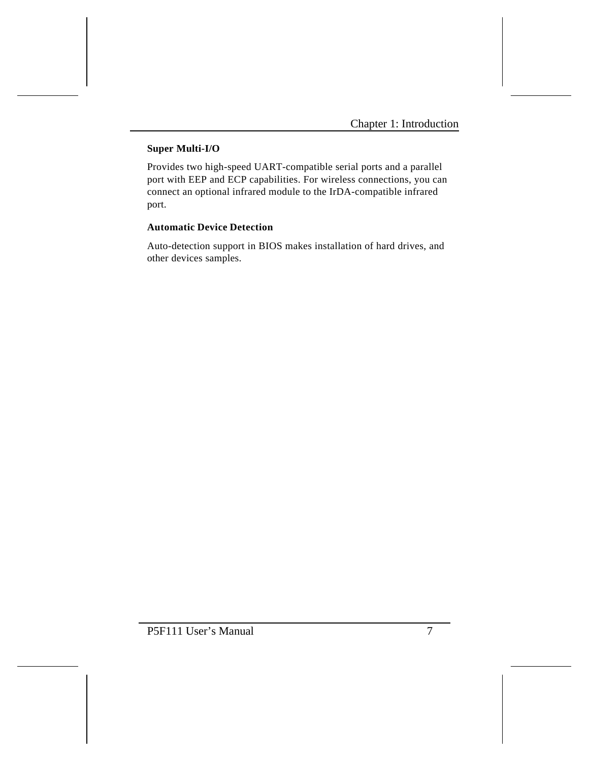# **Super Multi-I/O**

Provides two high-speed UART-compatible serial ports and a parallel port with EEP and ECP capabilities. For wireless connections, you can connect an optional infrared module to the IrDA-compatible infrared port.

## **Automatic Device Detection**

Auto-detection support in BIOS makes installation of hard drives, and other devices samples.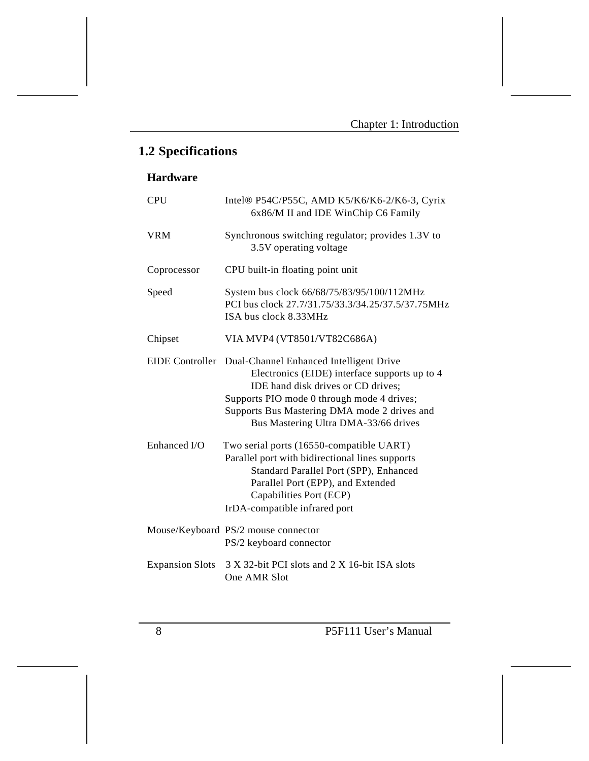# **1.2 Specifications**

# **Hardware**

| <b>CPU</b>             | Intel® P54C/P55C, AMD K5/K6/K6-2/K6-3, Cyrix<br>6x86/M II and IDE WinChip C6 Family                                                                                                                                                                                                  |
|------------------------|--------------------------------------------------------------------------------------------------------------------------------------------------------------------------------------------------------------------------------------------------------------------------------------|
| <b>VRM</b>             | Synchronous switching regulator; provides 1.3V to<br>3.5V operating voltage                                                                                                                                                                                                          |
| Coprocessor            | CPU built-in floating point unit                                                                                                                                                                                                                                                     |
| Speed                  | System bus clock 66/68/75/83/95/100/112MHz<br>PCI bus clock 27.7/31.75/33.3/34.25/37.5/37.75MHz<br>ISA bus clock 8.33MHz                                                                                                                                                             |
| Chipset                | VIA MVP4 (VT8501/VT82C686A)                                                                                                                                                                                                                                                          |
|                        | EIDE Controller Dual-Channel Enhanced Intelligent Drive<br>Electronics (EIDE) interface supports up to 4<br>IDE hand disk drives or CD drives;<br>Supports PIO mode 0 through mode 4 drives;<br>Supports Bus Mastering DMA mode 2 drives and<br>Bus Mastering Ultra DMA-33/66 drives |
| Enhanced I/O           | Two serial ports (16550-compatible UART)<br>Parallel port with bidirectional lines supports<br>Standard Parallel Port (SPP), Enhanced<br>Parallel Port (EPP), and Extended<br>Capabilities Port (ECP)<br>IrDA-compatible infrared port                                               |
|                        | Mouse/Keyboard PS/2 mouse connector<br>PS/2 keyboard connector                                                                                                                                                                                                                       |
| <b>Expansion Slots</b> | 3 X 32-bit PCI slots and 2 X 16-bit ISA slots<br>One AMR Slot                                                                                                                                                                                                                        |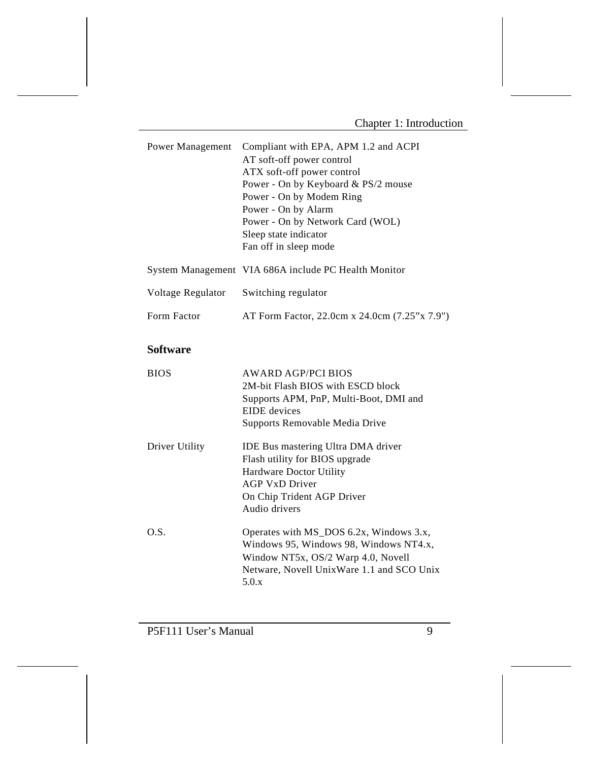| Compliant with EPA, APM 1.2 and ACPI<br>AT soft-off power control<br>ATX soft-off power control<br>Power - On by Keyboard & PS/2 mouse<br>Power - On by Modem Ring<br>Power - On by Alarm<br>Power - On by Network Card (WOL)<br>Sleep state indicator<br>Fan off in sleep mode |
|---------------------------------------------------------------------------------------------------------------------------------------------------------------------------------------------------------------------------------------------------------------------------------|
| System Management VIA 686A include PC Health Monitor                                                                                                                                                                                                                            |
| Switching regulator                                                                                                                                                                                                                                                             |
| AT Form Factor, 22.0cm x 24.0cm (7.25"x 7.9")                                                                                                                                                                                                                                   |
|                                                                                                                                                                                                                                                                                 |
| <b>AWARD AGP/PCI BIOS</b><br>2M-bit Flash BIOS with ESCD block<br>Supports APM, PnP, Multi-Boot, DMI and<br><b>EIDE</b> devices<br>Supports Removable Media Drive                                                                                                               |
| <b>IDE Bus mastering Ultra DMA driver</b><br>Flash utility for BIOS upgrade<br><b>Hardware Doctor Utility</b><br><b>AGP VxD Driver</b><br>On Chip Trident AGP Driver<br>Audio drivers                                                                                           |
| Operates with MS_DOS 6.2x, Windows 3.x,<br>Windows 95, Windows 98, Windows NT4.x,<br>Window NT5x, OS/2 Warp 4.0, Novell<br>Netware, Novell UnixWare 1.1 and SCO Unix<br>5.0.x                                                                                                   |
|                                                                                                                                                                                                                                                                                 |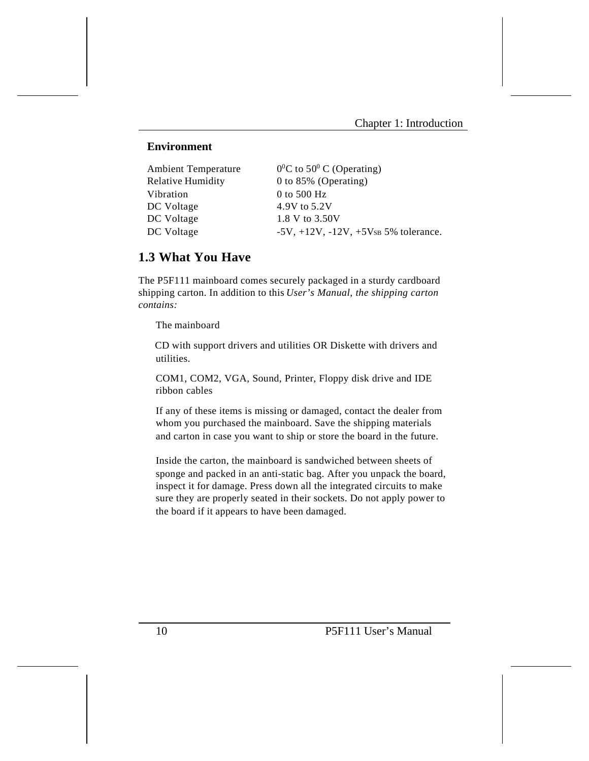#### **Environment**

| <b>Ambient Temperature</b> | $0^0$ C to 50 <sup>0</sup> C (Operating)        |
|----------------------------|-------------------------------------------------|
| <b>Relative Humidity</b>   | 0 to 85% (Operating)                            |
| Vibration                  | 0 to 500 Hz                                     |
| DC Voltage                 | 4.9V to 5.2V                                    |
| DC Voltage                 | 1.8 V to 3.50V                                  |
| DC Voltage                 | $-5V$ , $+12V$ , $-12V$ , $+5V$ s 5% tolerance. |
|                            |                                                 |

## **1.3 What You Have**

The P5F111 mainboard comes securely packaged in a sturdy cardboard shipping carton. In addition to this *User's Manual, the shipping carton contains:* 

The mainboard

 CD with support drivers and utilities OR Diskette with drivers and utilities.

COM1, COM2, VGA, Sound, Printer, Floppy disk drive and IDE ribbon cables

If any of these items is missing or damaged, contact the dealer from whom you purchased the mainboard. Save the shipping materials and carton in case you want to ship or store the board in the future.

Inside the carton, the mainboard is sandwiched between sheets of sponge and packed in an anti-static bag. After you unpack the board, inspect it for damage. Press down all the integrated circuits to make sure they are properly seated in their sockets. Do not apply power to the board if it appears to have been damaged.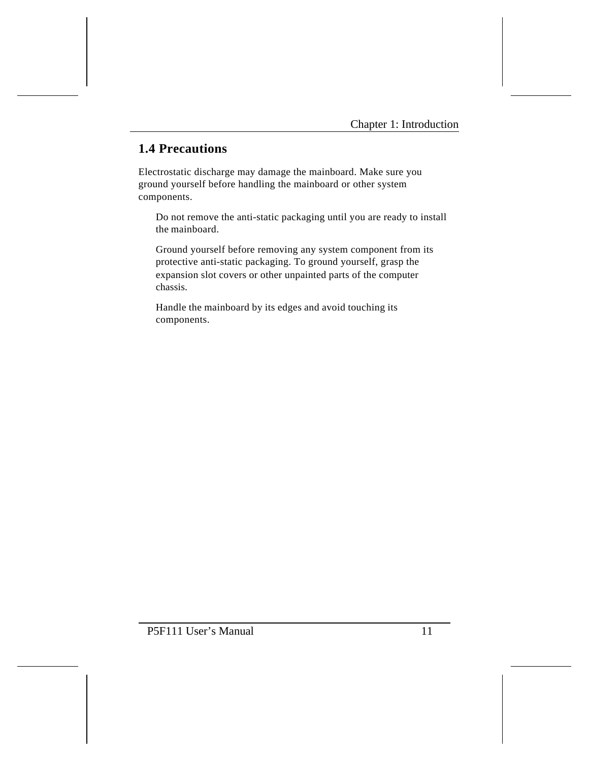# **1.4 Precautions**

Electrostatic discharge may damage the mainboard. Make sure you ground yourself before handling the mainboard or other system components.

Do not remove the anti-static packaging until you are ready to install the mainboard.

Ground yourself before removing any system component from its protective anti-static packaging. To ground yourself, grasp the expansion slot covers or other unpainted parts of the computer chassis.

Handle the mainboard by its edges and avoid touching its components.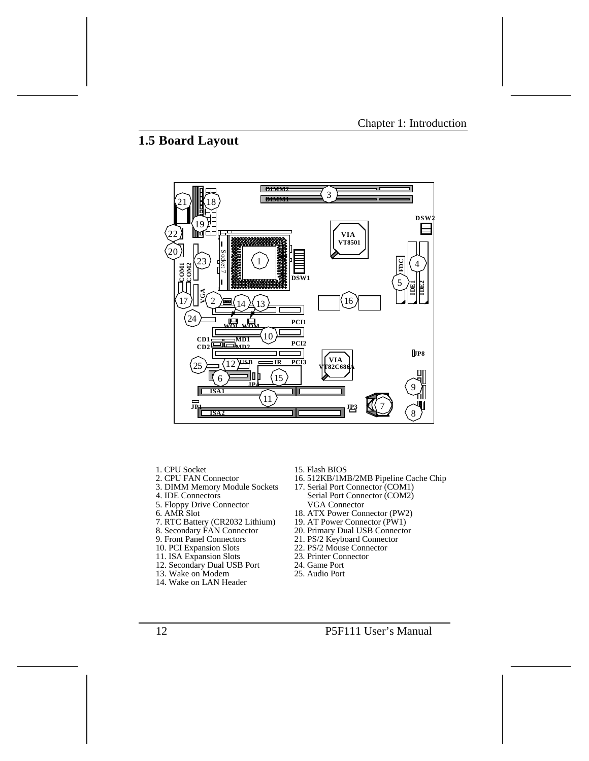# **1.5 Board Layout**



- 1. CPU Socket
- 2. CPU FAN Connector
- 3. DIMM Memory Module Sockets
- 4. IDE Connectors
- 5. Floppy Drive Connector
- 6. AMR Slot
- 7. RTC Battery (CR2032 Lithium)
- 8. Secondary FAN Connector
- 9. Front Panel Connectors
- 10. PCI Expansion Slots
- 11. ISA Expansion Slots
- 12. Secondary Dual USB Port
- 13. Wake on Modem
- 14. Wake on LAN Header
- 15. Flash BIOS
- 16. 512KB/1MB/2MB Pipeline Cache Chip
- 17. Serial Port Connector (COM1) Serial Port Connector (COM2) VGA Connector
- 18. ATX Power Connector (PW2)
- 19. AT Power Connector (PW1)
- 20. Primary Dual USB Connector
- 21. PS/2 Keyboard Connector
- 22. PS/2 Mouse Connector
- 23. Printer Connector
- 24. Game Port
- 25. Audio Port
- 12 **P5F111 User's Manual**
-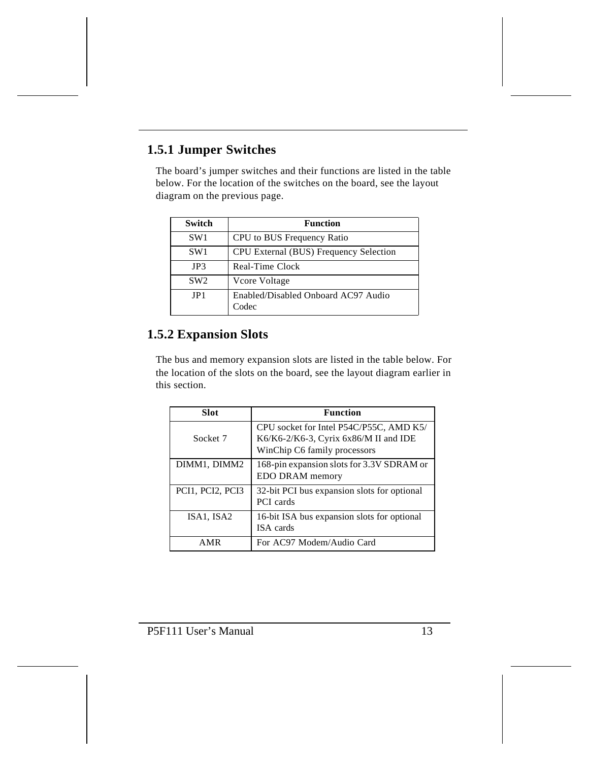# **1.5.1 Jumper Switches**

The board's jumper switches and their functions are listed in the table below. For the location of the switches on the board, see the layout diagram on the previous page.

| Switch          | <b>Function</b>                              |
|-----------------|----------------------------------------------|
| SW <sub>1</sub> | CPU to BUS Frequency Ratio                   |
| SW <sub>1</sub> | CPU External (BUS) Frequency Selection       |
| JP3             | Real-Time Clock                              |
| SW <sub>2</sub> | Vcore Voltage                                |
| JP1             | Enabled/Disabled Onboard AC97 Audio<br>Codec |

# **1.5.2 Expansion Slots**

The bus and memory expansion slots are listed in the table below. For the location of the slots on the board, see the layout diagram earlier in this section.

| Slot             | <b>Function</b>                                                                                                     |
|------------------|---------------------------------------------------------------------------------------------------------------------|
| Socket 7         | CPU socket for Intel P54C/P55C, AMD K5/<br>$K6/K6-2/K6-3$ , Cyrix 6x86/M II and IDE<br>WinChip C6 family processors |
| DIMM1, DIMM2     | 168-pin expansion slots for 3.3V SDRAM or<br>EDO DRAM memory                                                        |
| PCI1, PCI2, PCI3 | 32-bit PCI bus expansion slots for optional<br><b>PCI</b> cards                                                     |
| ISA1, ISA2       | 16-bit ISA bus expansion slots for optional<br>ISA cards                                                            |
| AMR              | For AC97 Modem/Audio Card                                                                                           |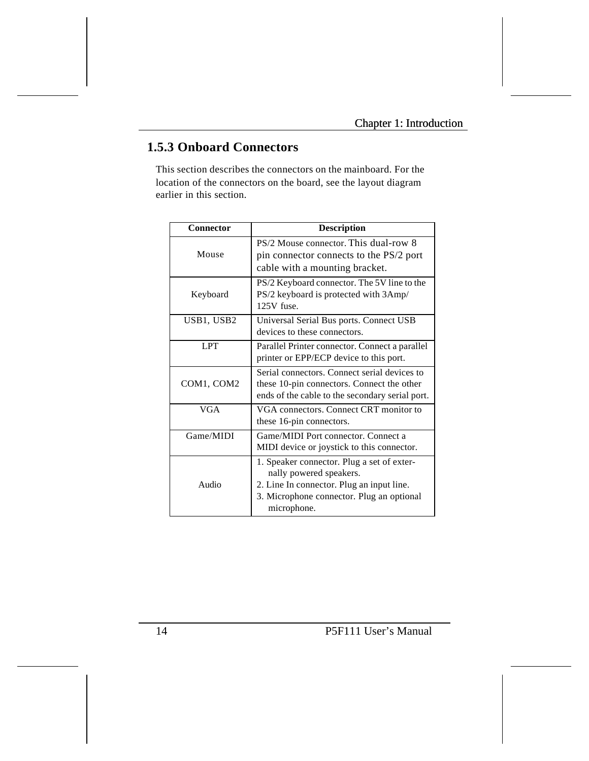# **1.5.3 Onboard Connectors**

This section describes the connectors on the mainboard. For the location of the connectors on the board, see the layout diagram earlier in this section.

| Connector  | <b>Description</b>                                                                                                                                                             |
|------------|--------------------------------------------------------------------------------------------------------------------------------------------------------------------------------|
| Mouse      | PS/2 Mouse connector. This dual-row 8<br>pin connector connects to the PS/2 port<br>cable with a mounting bracket.                                                             |
| Keyboard   | PS/2 Keyboard connector. The 5V line to the<br>PS/2 keyboard is protected with 3Amp/<br>$125V$ fuse.                                                                           |
| USB1, USB2 | Universal Serial Bus ports. Connect USB<br>devices to these connectors.                                                                                                        |
| <b>LPT</b> | Parallel Printer connector. Connect a parallel<br>printer or EPP/ECP device to this port.                                                                                      |
| COM1, COM2 | Serial connectors. Connect serial devices to<br>these 10-pin connectors. Connect the other<br>ends of the cable to the secondary serial port.                                  |
| <b>VGA</b> | VGA connectors. Connect CRT monitor to<br>these 16-pin connectors.                                                                                                             |
| Game/MIDI  | Game/MIDI Port connector, Connect a<br>MIDI device or joystick to this connector.                                                                                              |
| Audio      | 1. Speaker connector. Plug a set of exter-<br>nally powered speakers.<br>2. Line In connector. Plug an input line.<br>3. Microphone connector. Plug an optional<br>microphone. |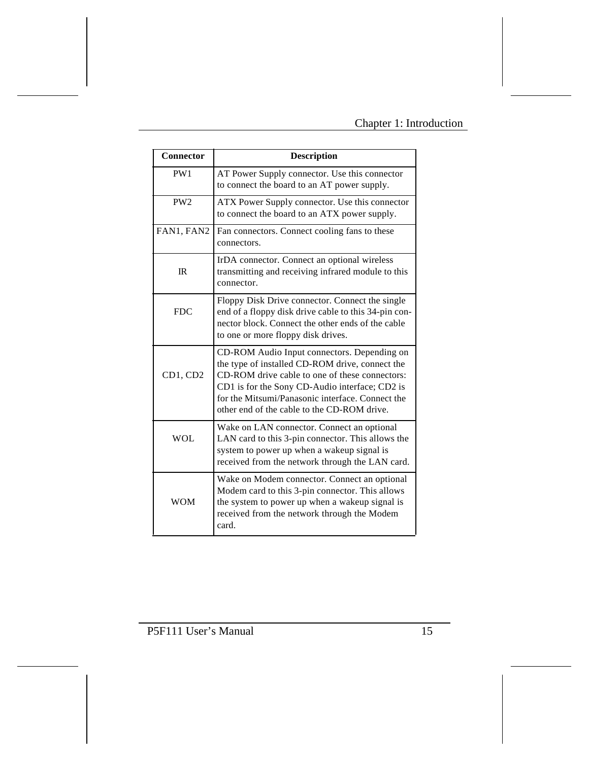| Connector       | <b>Description</b>                                                                                                                                                                                                                                                                                    |
|-----------------|-------------------------------------------------------------------------------------------------------------------------------------------------------------------------------------------------------------------------------------------------------------------------------------------------------|
| PW1             | AT Power Supply connector. Use this connector<br>to connect the board to an AT power supply.                                                                                                                                                                                                          |
| PW <sub>2</sub> | ATX Power Supply connector. Use this connector<br>to connect the board to an ATX power supply.                                                                                                                                                                                                        |
| FAN1, FAN2      | Fan connectors. Connect cooling fans to these<br>connectors.                                                                                                                                                                                                                                          |
| IR              | IrDA connector. Connect an optional wireless<br>transmitting and receiving infrared module to this<br>connector.                                                                                                                                                                                      |
| FDC.            | Floppy Disk Drive connector. Connect the single<br>end of a floppy disk drive cable to this 34-pin con-<br>nector block. Connect the other ends of the cable<br>to one or more floppy disk drives.                                                                                                    |
| CD1, CD2        | CD-ROM Audio Input connectors. Depending on<br>the type of installed CD-ROM drive, connect the<br>CD-ROM drive cable to one of these connectors:<br>CD1 is for the Sony CD-Audio interface; CD2 is<br>for the Mitsumi/Panasonic interface. Connect the<br>other end of the cable to the CD-ROM drive. |
| <b>WOL</b>      | Wake on LAN connector. Connect an optional<br>LAN card to this 3-pin connector. This allows the<br>system to power up when a wakeup signal is<br>received from the network through the LAN card.                                                                                                      |
| <b>WOM</b>      | Wake on Modem connector. Connect an optional<br>Modem card to this 3-pin connector. This allows<br>the system to power up when a wakeup signal is<br>received from the network through the Modem<br>card.                                                                                             |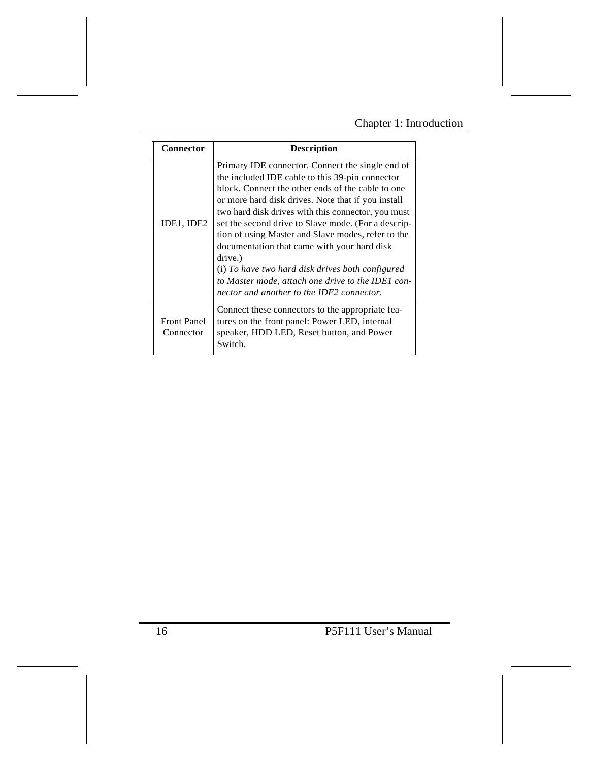# Chapter 1: Introduction

| Connector                       | <b>Description</b>                                                                                                                                                                                                                                                                                                                                                                                                                                                                                                                                                                                |
|---------------------------------|---------------------------------------------------------------------------------------------------------------------------------------------------------------------------------------------------------------------------------------------------------------------------------------------------------------------------------------------------------------------------------------------------------------------------------------------------------------------------------------------------------------------------------------------------------------------------------------------------|
|                                 |                                                                                                                                                                                                                                                                                                                                                                                                                                                                                                                                                                                                   |
| IDE1, IDE2                      | Primary IDE connector. Connect the single end of<br>the included IDE cable to this 39-pin connector<br>block. Connect the other ends of the cable to one<br>or more hard disk drives. Note that if you install<br>two hard disk drives with this connector, you must<br>set the second drive to Slave mode. (For a descrip-<br>tion of using Master and Slave modes, refer to the<br>documentation that came with your hard disk<br>drive.)<br>(i) To have two hard disk drives both configured<br>to Master mode, attach one drive to the IDE1 con-<br>nector and another to the IDE2 connector. |
| <b>Front Panel</b><br>Connector | Connect these connectors to the appropriate fea-<br>tures on the front panel: Power LED, internal<br>speaker, HDD LED, Reset button, and Power<br>Switch.                                                                                                                                                                                                                                                                                                                                                                                                                                         |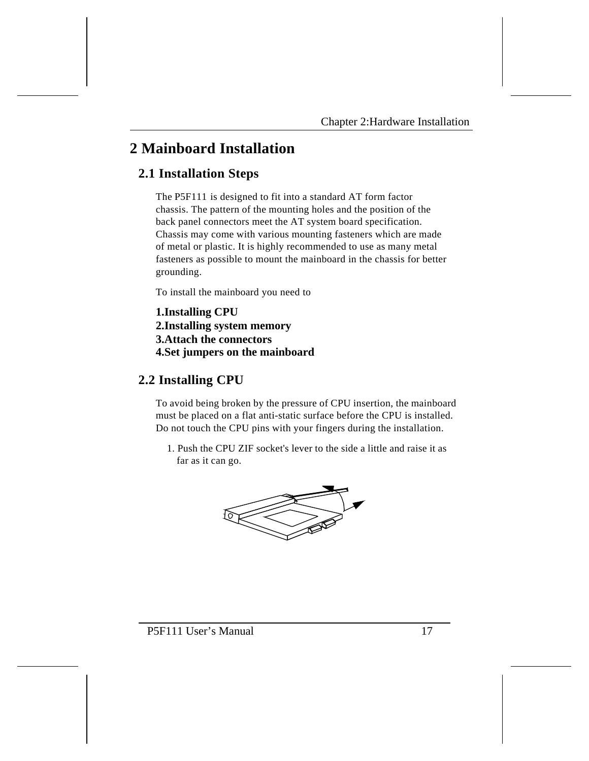# **2 Mainboard Installation**

# **2.1 Installation Steps**

The P5F111 is designed to fit into a standard AT form factor chassis. The pattern of the mounting holes and the position of the back panel connectors meet the AT system board specification. Chassis may come with various mounting fasteners which are made of metal or plastic. It is highly recommended to use as many metal fasteners as possible to mount the mainboard in the chassis for better grounding.

To install the mainboard you need to

**1.Installing CPU 2.Installing system memory 3.Attach the connectors 4.Set jumpers on the mainboard**

# **2.2 Installing CPU**

To avoid being broken by the pressure of CPU insertion, the mainboard must be placed on a flat anti-static surface before the CPU is installed. Do not touch the CPU pins with your fingers during the installation.

 1. Push the CPU ZIF socket's lever to the side a little and raise it as far as it can go.

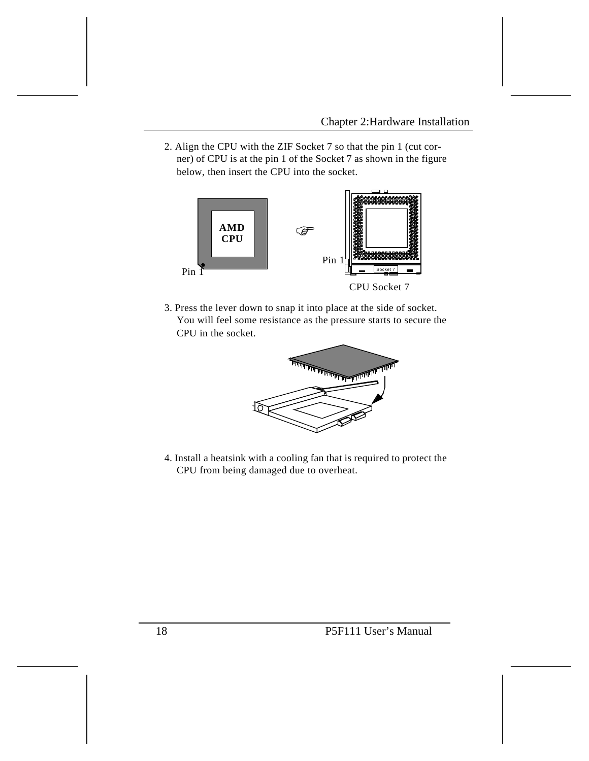2. Align the CPU with the ZIF Socket 7 so that the pin 1 (cut corner) of CPU is at the pin 1 of the Socket 7 as shown in the figure below, then insert the CPU into the socket.



3. Press the lever down to snap it into place at the side of socket. You will feel some resistance as the pressure starts to secure the CPU in the socket.



4. Install a heatsink with a cooling fan that is required to protect the CPU from being damaged due to overheat.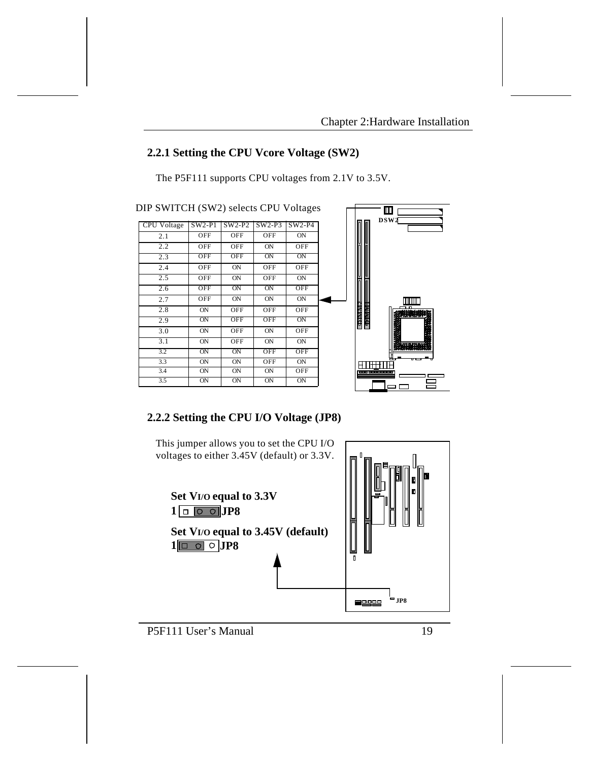# **2.2.1 Setting the CPU Vcore Voltage (SW2)**

The P5F111 supports CPU voltages from 2.1V to 3.5V.

|  | DIP SWITCH (SW2) selects CPU Voltages |  |  |  |  |
|--|---------------------------------------|--|--|--|--|
|--|---------------------------------------|--|--|--|--|

| CPU Voltage | $SW2-P1$    | $SW2-P2$   | $SW2-P3$   | $SW2-P4$   |
|-------------|-------------|------------|------------|------------|
| 2.1         | OFF         | OFF        | OFF        | <b>ON</b>  |
| 2.2         | OFF         | OFF        | <b>ON</b>  | OFF        |
| 2.3         | OFF         | OFF        | ON         | ON         |
| 2.4         | OFF         | <b>ON</b>  | OFF        | OFF        |
| 2.5         | OFF         | ON         | OFF        | <b>ON</b>  |
| 2.6         | OFF         | ON         | ON         | <b>OFF</b> |
| 2.7         | OFF         | ON         | ON         | <b>ON</b>  |
| 2.8         | ON          | OFF        | OFF        | OFF        |
| 2.9         | $_{\rm ON}$ | <b>OFF</b> | <b>OFF</b> | ON         |
| 3.0         | ON          | OFF        | ON         | OFF        |
| 3.1         | ON          | OFF        | ON         | <b>ON</b>  |
| 3.2         | $_{\rm ON}$ | ON         | <b>OFF</b> | <b>OFF</b> |
| 3.3         | ON          | <b>ON</b>  | OFF        | <b>ON</b>  |
| 3.4         | ON          | <b>ON</b>  | <b>ON</b>  | OFF        |
| 3.5         | $_{\rm ON}$ | ON         | ON         | ON         |



# **2.2.2 Setting the CPU I/O Voltage (JP8)**

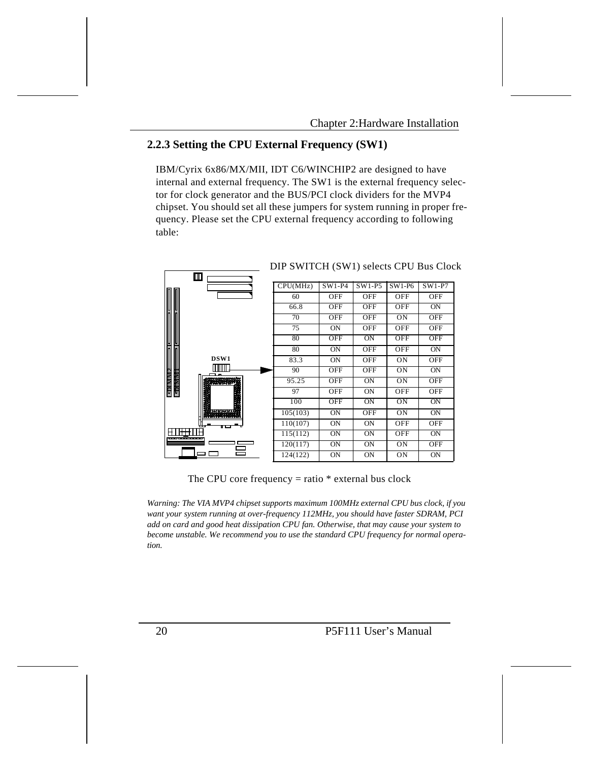## **2.2.3 Setting the CPU External Frequency (SW1)**

IBM/Cyrix 6x86/MX/MII, IDT C6/WINCHIP2 are designed to have internal and external frequency. The SW1 is the external frequency selector for clock generator and the BUS/PCI clock dividers for the MVP4 chipset. You should set all these jumpers for system running in proper frequency. Please set the CPU external frequency according to following table:



DIP SWITCH (SW1) selects CPU Bus Clock

The CPU core frequency  $=$  ratio  $*$  external bus clock

*Warning: The VIA MVP4 chipset supports maximum 100MHz external CPU bus clock, if you want your system running at over-frequency 112MHz, you should have faster SDRAM, PCI add on card and good heat dissipation CPU fan. Otherwise, that may cause your system to become unstable. We recommend you to use the standard CPU frequency for normal operation.*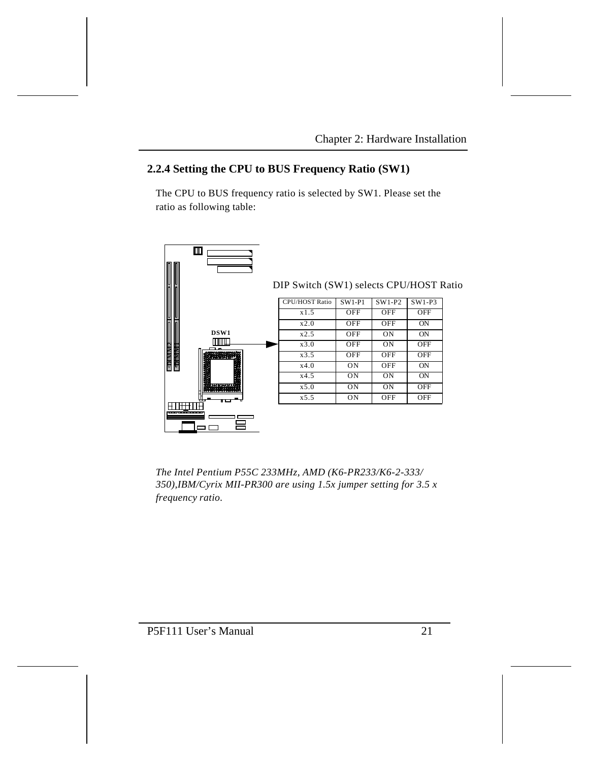# **2.2.4 Setting the CPU to BUS Frequency Ratio (SW1)**

The CPU to BUS frequency ratio is selected by SW1. Please set the ratio as following table:



*The Intel Pentium P55C 233MHz, AMD (K6-PR233/K6-2-333/ 350),IBM/Cyrix MII-PR300 are using 1.5x jumper setting for 3.5 x frequency ratio.*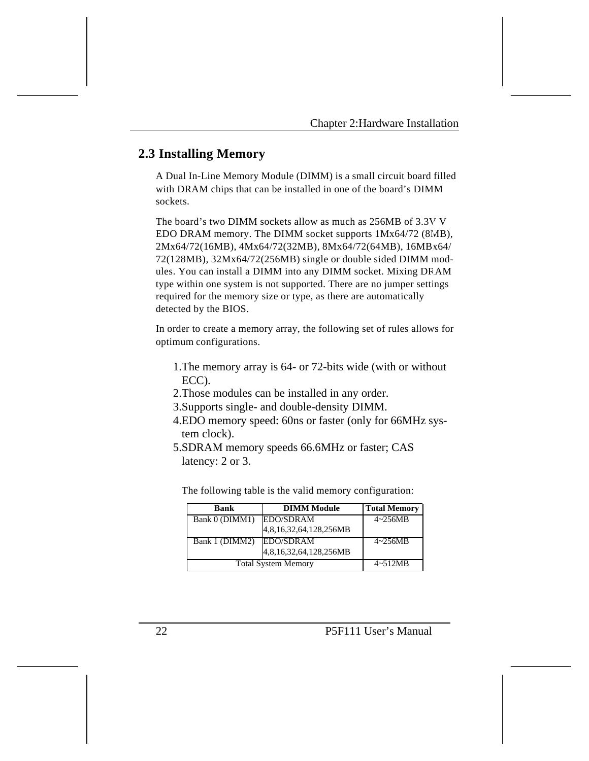# **2.3 Installing Memory**

A Dual In-Line Memory Module (DIMM) is a small circuit board filled with DRAM chips that can be installed in one of the board's DIMM sockets.

The board's two DIMM sockets allow as much as 256MB of 3.3V V EDO DRAM memory. The DIMM socket supports 1Mx64/72 (8MB), 2Mx64/72(16MB), 4Mx64/72(32MB), 8Mx64/72(64MB), 16MBx64/ 72(128MB), 32Mx64/72(256MB) single or double sided DIMM modules. You can install a DIMM into any DIMM socket. Mixing DRAM type within one system is not supported. There are no jumper settings required for the memory size or type, as there are automatically detected by the BIOS.

In order to create a memory array, the following set of rules allows for optimum configurations.

- 1.The memory array is 64- or 72-bits wide (with or without ECC).
- 2.Those modules can be installed in any order.
- 3.Supports single- and double-density DIMM.
- 4.EDO memory speed: 60ns or faster (only for 66MHz system clock).
- 5.SDRAM memory speeds 66.6MHz or faster; CAS latency: 2 or 3.

The following table is the valid memory configuration:

| <b>Bank</b>                | <b>DIMM Module</b>     | <b>Total Memory</b> |
|----------------------------|------------------------|---------------------|
| Bank 0 (DIMM1)             | <b>EDO/SDRAM</b>       | $4 - 256MB$         |
|                            | 4,8,16,32,64,128,256MB |                     |
| Bank 1 (DIMM2)             | EDO/SDRAM              | $4 - 256MB$         |
|                            | 4,8,16,32,64,128,256MB |                     |
| <b>Total System Memory</b> | $4 \sim 512MB$         |                     |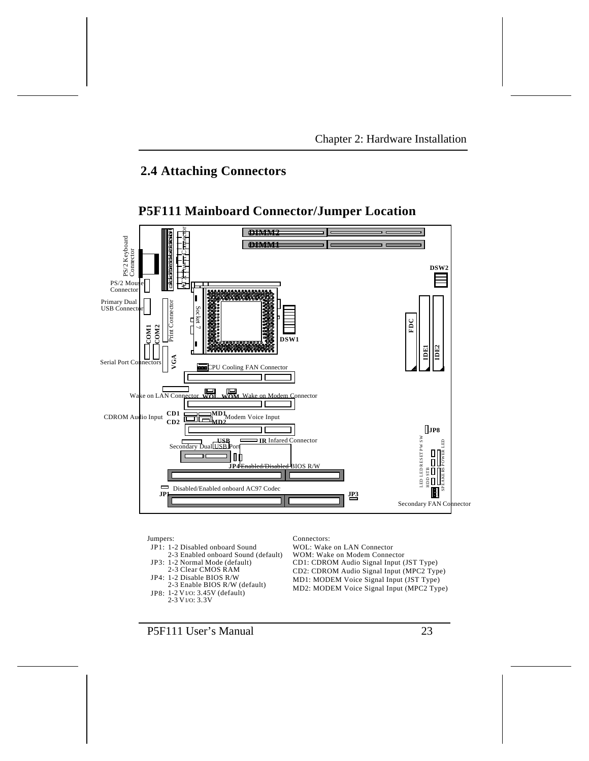# **2.4 Attaching Connectors**



# **P5F111 Mainboard Connector/Jumper Location**

Jumpers: JP1: 1-2 Disabled onboard Sound 2-3 Enabled onboard Sound (default) JP3: 1-2 Normal Mode (default) 2-3 Clear CMOS RAM Connectors: WOL: Wake on LAN Connector MD2: MODEM Voice Signal Input (MPC2 Type) MD1: MODEM Voice Signal Input (JST Type) CD2: CDROM Audio Signal Input (MPC2 Type) CD1: CDROM Audio Signal Input (JST Type) WOM: Wake on Modem Connector 2-3 Enable BIOS R/W (default) JP4: 1-2 Disable BIOS R/W JP8: 1-2 VI/O: 3.45V (default) 2-3 VI/O: 3.3V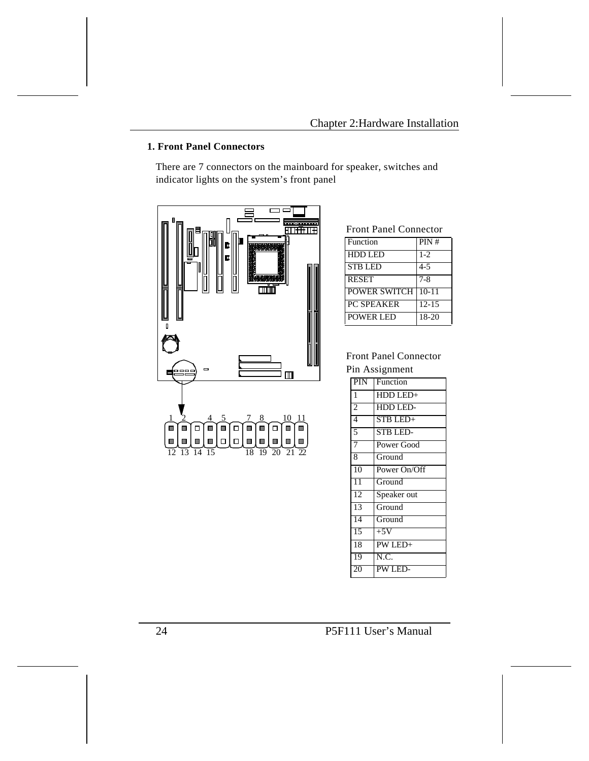## **1. Front Panel Connectors**

There are 7 connectors on the mainboard for speaker, switches and indicator lights on the system's front panel



## Front Panel Connector

| Function            | PIN#      |
|---------------------|-----------|
| <b>HDD LED</b>      | $1 - 2$   |
| <b>STB LED</b>      | $4 - 5$   |
| <b>RESET</b>        | $7 - 8$   |
| <b>POWER SWITCH</b> | $10-11$   |
| <b>PC SPEAKER</b>   | $12 - 15$ |
| <b>POWER LED</b>    | 18-20     |

## Front Panel Connector Pin Assignment

| PIN             | Function        |
|-----------------|-----------------|
| $\mathbf{1}$    | HDD LED+        |
| $\overline{2}$  | HDD LED-        |
| $\overline{4}$  | STB LED+        |
| 5               | <b>STB LED-</b> |
| $\overline{7}$  | Power Good      |
| 8               | Ground          |
| $\overline{10}$ | Power On/Off    |
| $\overline{11}$ | Ground          |
| 12              | Speaker out     |
| 13              | Ground          |
| 14              | Ground          |
| 15              | $+5V$           |
| 18              | PW LED+         |
| 19              | N.C.            |
| 20              | PW LED-         |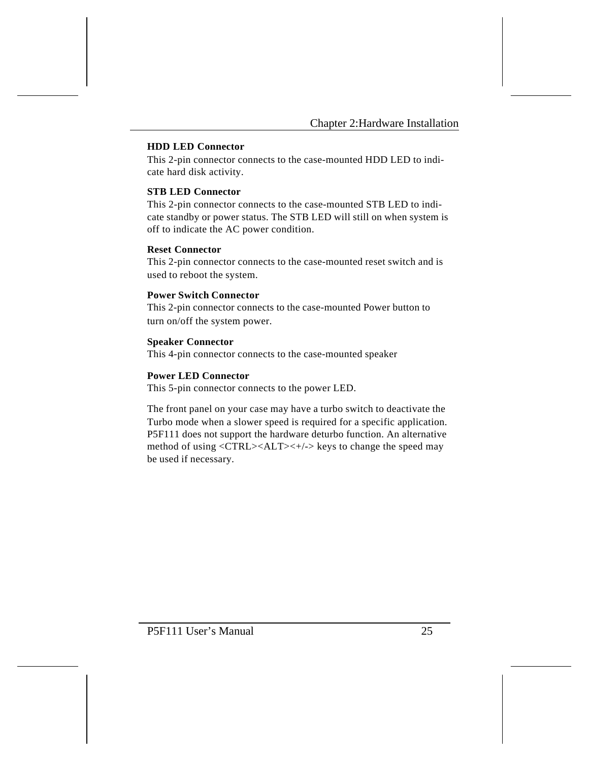#### **HDD LED Connector**

This 2-pin connector connects to the case-mounted HDD LED to indicate hard disk activity.

## **STB LED Connector**

This 2-pin connector connects to the case-mounted STB LED to indicate standby or power status. The STB LED will still on when system is off to indicate the AC power condition.

#### **Reset Connector**

This 2-pin connector connects to the case-mounted reset switch and is used to reboot the system.

#### **Power Switch Connector**

This 2-pin connector connects to the case-mounted Power button to turn on/off the system power.

#### **Speaker Connector**

This 4-pin connector connects to the case-mounted speaker

#### **Power LED Connector**

This 5-pin connector connects to the power LED.

The front panel on your case may have a turbo switch to deactivate the Turbo mode when a slower speed is required for a specific application. P5F111 does not support the hardware deturbo function. An alternative method of using <CTRL><ALT><+/-> keys to change the speed may be used if necessary.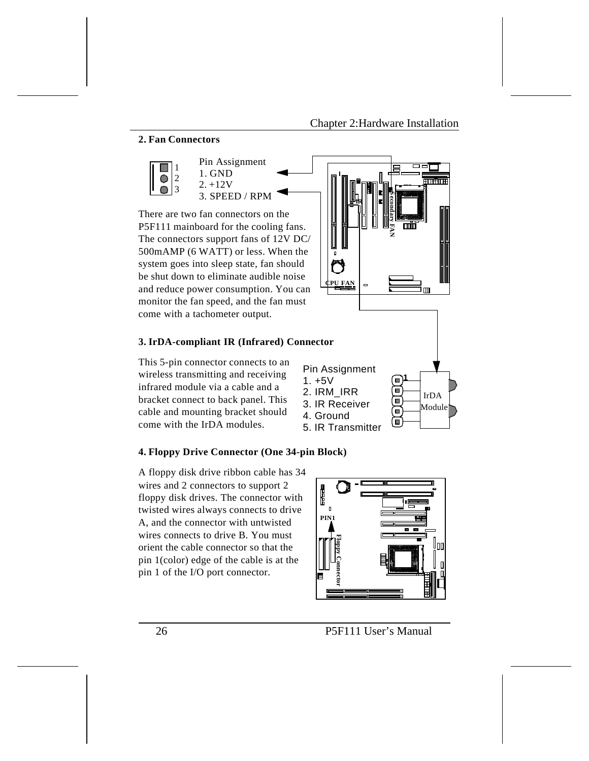### **2. Fan Connectors**



There are two fan connectors on the P5F111 mainboard for the cooling fans. The connectors support fans of 12V DC/ 500mAMP (6 WATT) or less. When the system goes into sleep state, fan should be shut down to eliminate audible noise and reduce power consumption. You can monitor the fan speed, and the fan must come with a tachometer output.

## **3. IrDA-compliant IR (Infrared) Connector**

This 5-pin connector connects to an wireless transmitting and receiving infrared module via a cable and a bracket connect to back panel. This cable and mounting bracket should come with the IrDA modules.





#### **4. Floppy Drive Connector (One 34-pin Block)**

A floppy disk drive ribbon cable has 34 wires and 2 connectors to support 2 floppy disk drives. The connector with twisted wires always connects to drive A, and the connector with untwisted wires connects to drive B. You must orient the cable connector so that the pin 1(color) edge of the cable is at the pin 1 of the I/O port connector.



26 P5F111 User's Manual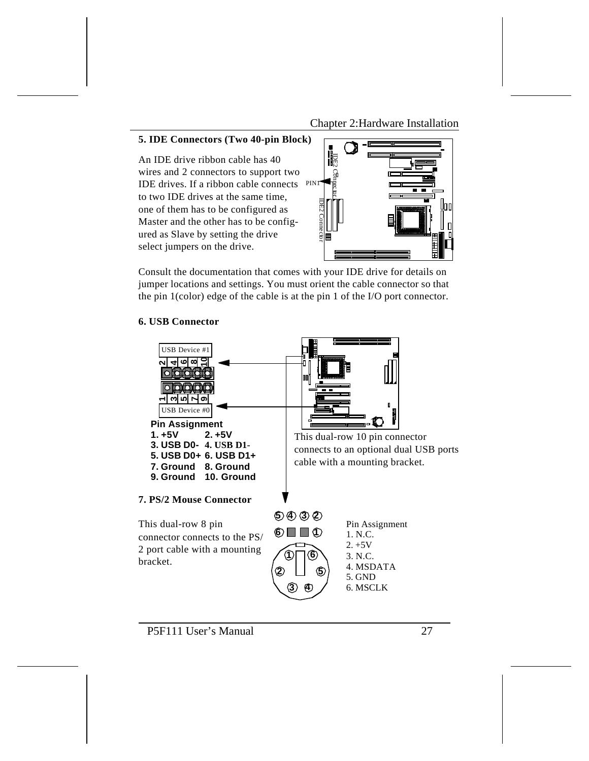Chapter 2:Hardware Installation

#### **5. IDE Connectors (Two 40-pin Block)**

An IDE drive ribbon cable has 40 wires and 2 connectors to support two IDE drives. If a ribbon cable connects PIN1 to two IDE drives at the same time, one of them has to be configured as Master and the other has to be configured as Slave by setting the drive select jumpers on the drive.



Consult the documentation that comes with your IDE drive for details on jumper locations and settings. You must orient the cable connector so that the pin 1(color) edge of the cable is at the pin 1 of the I/O port connector.

### **6. USB Connector**

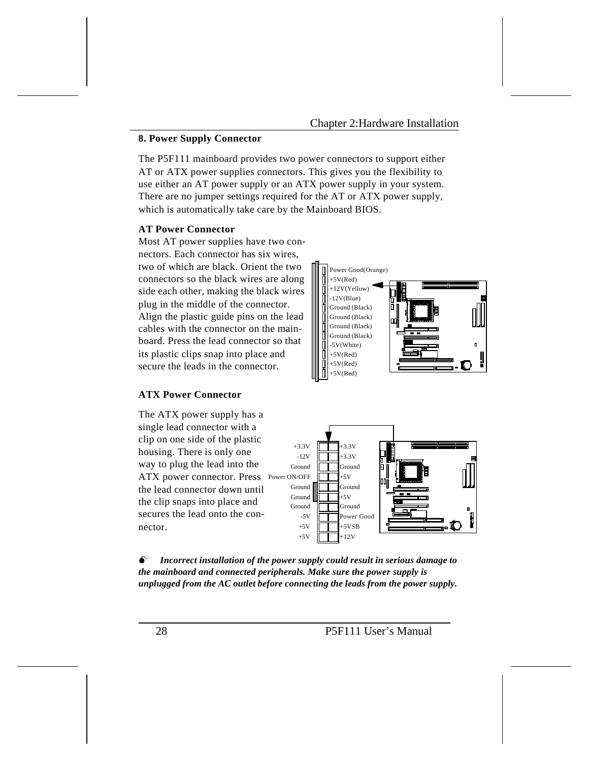### Chapter 2:Hardware Installation

#### **8. Power Supply Connector**

The P5F111 mainboard provides two power connectors to support either AT or ATX power supplies connectors. This gives you the flexibility to use either an AT power supply or an ATX power supply in your system. There are no jumper settings required for the AT or ATX power supply, which is automatically take care by the Mainboard BIOS.

#### **AT Power Connector**

Most AT power supplies have two connectors. Each connector has six wires, two of which are black. Orient the two connectors so the black wires are along side each other, making the black wires plug in the middle of the connector. Align the plastic guide pins on the lead cables with the connector on the mainboard. Press the lead connector so that its plastic clips snap into place and secure the leads in the connector.

#### Power Good(Orange)  $+5V(Red)$ +12V(Yellow) -12V(Blue) Ground (Black) Ground (Black) Ground (Black) Ground (Black) -5V(White)  $+5V(Red)$  $+5V(Red)$  $+5V(Red)$

#### **ATX Power Connector**

The ATX power supply has a single lead connector with a clip on one side of the plastic housing. There is only one way to plug the lead into the ATX power connector. Press Power ON/OFF the lead connector down until the clip snaps into place and secures the lead onto the connector.



 $\bullet^*$  Incorrect installation of the power supply could result in serious damage to *the mainboard and connected peripherals. Make sure the power supply is unplugged from the AC outlet before connecting the leads from the power supply.*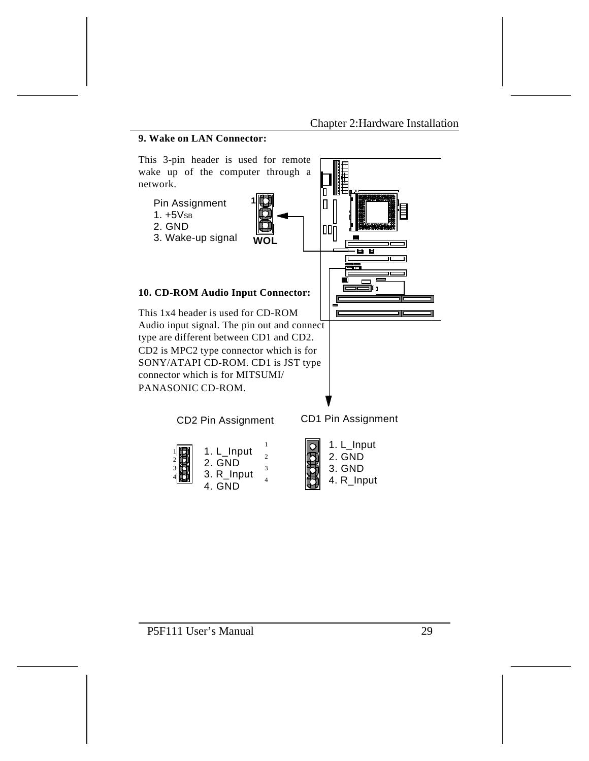## **9. Wake on LAN Connector:**



4. R\_Input

P5F111 User's Manual 29

4. GND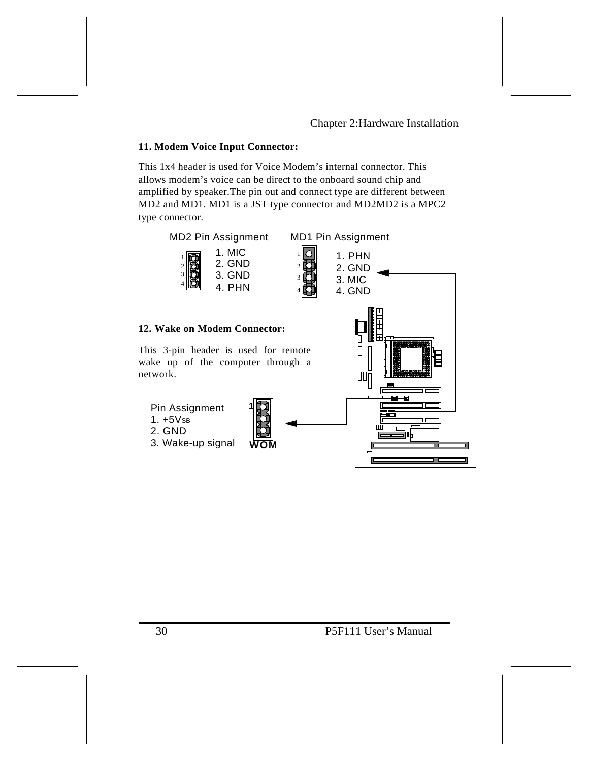### **11. Modem Voice Input Connector:**

This 1x4 header is used for Voice Modem's internal connector. This allows modem's voice can be direct to the onboard sound chip and amplified by speaker.The pin out and connect type are different between MD2 and MD1. MD1 is a JST type connector and MD2MD2 is a MPC2 type connector.

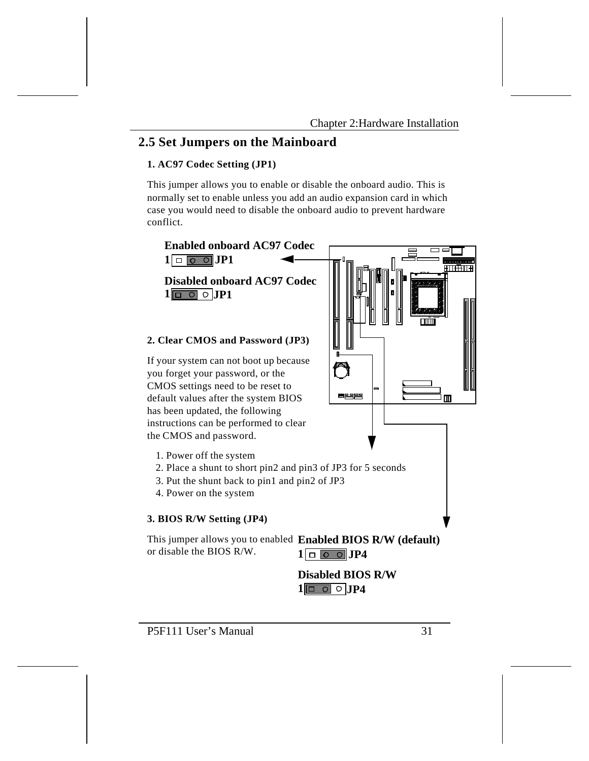## **2.5 Set Jumpers on the Mainboard**

### **1. AC97 Codec Setting (JP1)**

This jumper allows you to enable or disable the onboard audio. This is normally set to enable unless you add an audio expansion card in which case you would need to disable the onboard audio to prevent hardware conflict.

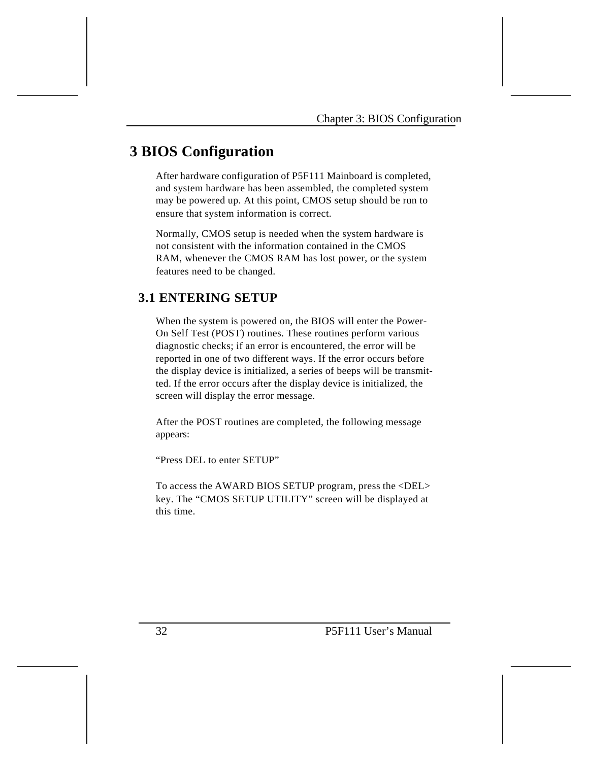# **3 BIOS Configuration**

After hardware configuration of P5F111 Mainboard is completed, and system hardware has been assembled, the completed system may be powered up. At this point, CMOS setup should be run to ensure that system information is correct.

Normally, CMOS setup is needed when the system hardware is not consistent with the information contained in the CMOS RAM, whenever the CMOS RAM has lost power, or the system features need to be changed.

# **3.1 ENTERING SETUP**

When the system is powered on, the BIOS will enter the Power-On Self Test (POST) routines. These routines perform various diagnostic checks; if an error is encountered, the error will be reported in one of two different ways. If the error occurs before the display device is initialized, a series of beeps will be transmitted. If the error occurs after the display device is initialized, the screen will display the error message.

After the POST routines are completed, the following message appears:

"Press DEL to enter SETUP"

To access the AWARD BIOS SETUP program, press the <DEL> key. The "CMOS SETUP UTILITY" screen will be displayed at this time.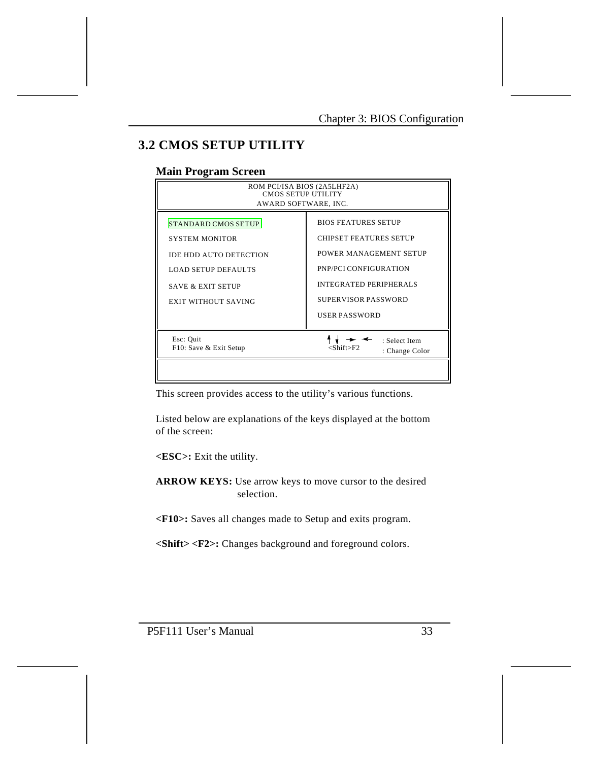# **3.2 CMOS SETUP UTILITY**

## **Main Program Screen**

| ROM PCI/ISA BIOS (2A5LHF2A)<br><b>CMOS SETUP UTILITY</b><br>AWARD SOFTWARE, INC.                                                                                          |                                                                                                                                                                                                |  |  |  |
|---------------------------------------------------------------------------------------------------------------------------------------------------------------------------|------------------------------------------------------------------------------------------------------------------------------------------------------------------------------------------------|--|--|--|
| <b>STANDARD CMOS SETUP</b><br><b>SYSTEM MONITOR</b><br>IDE HDD AUTO DETECTION<br><b>LOAD SETUP DEFAULTS</b><br><b>SAVE &amp; EXIT SETUP</b><br><b>EXIT WITHOUT SAVING</b> | <b>BIOS FEATURES SETUP</b><br><b>CHIPSET FEATURES SETUP</b><br>POWER MANAGEMENT SETUP<br>PNP/PCI CONFIGURATION<br><b>INTEGRATED PERIPHERALS</b><br>SUPERVISOR PASSWORD<br><b>USER PASSWORD</b> |  |  |  |
| Esc: Quit<br>F10: Save & Exit Setup                                                                                                                                       | : Select Item<br><shift>F2<br/>: Change Color</shift>                                                                                                                                          |  |  |  |

This screen provides access to the utility's various functions.

Listed below are explanations of the keys displayed at the bottom of the screen:

**<ESC>:** Exit the utility.

**ARROW KEYS:** Use arrow keys to move cursor to the desired selection.

**<F10>:** Saves all changes made to Setup and exits program.

**<Shift> <F2>:** Changes background and foreground colors.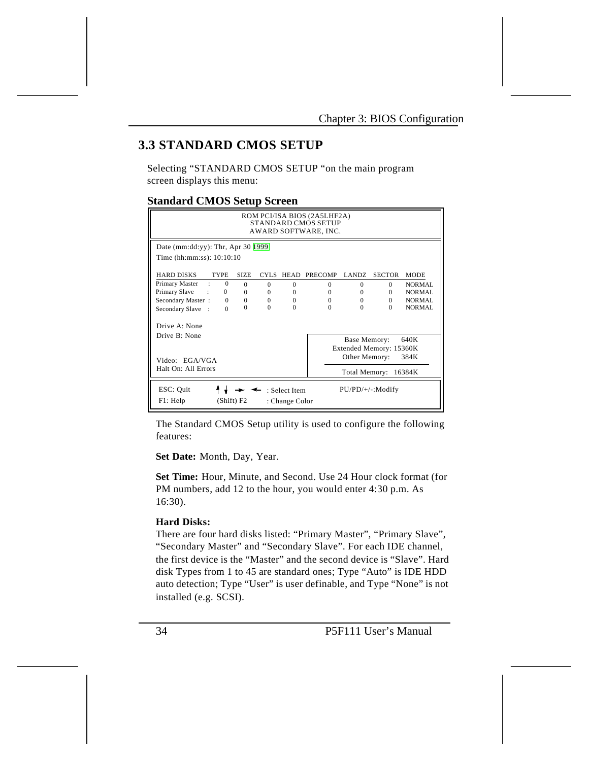# **3.3 STANDARD CMOS SETUP**

Selecting "STANDARD CMOS SETUP "on the main program screen displays this menu:

## **Standard CMOS Setup Screen**

| ROM PCI/ISA BIOS (2A5LHF2A)<br><b>STANDARD CMOS SETUP</b><br>AWARD SOFTWARE, INC.             |                         |             |          |          |                |              |                         |             |
|-----------------------------------------------------------------------------------------------|-------------------------|-------------|----------|----------|----------------|--------------|-------------------------|-------------|
| Date (mm:dd:yy): Thr, Apr 30 $ 1999 $                                                         |                         |             |          |          |                |              |                         |             |
| Time (hh:mm:ss): 10:10:10                                                                     |                         |             |          |          |                |              |                         |             |
| <b>HARD DISKS</b>                                                                             | <b>TYPE</b>             | <b>SIZE</b> | CYLS.    | HEAD     | <b>PRECOMP</b> | LANDZ        | <b>SECTOR</b>           | <b>MODE</b> |
| Primary Master                                                                                | $\mathbf{0}$<br>$\cdot$ | $\Omega$    | $\Omega$ | $\Omega$ | $\Omega$       | $\Omega$     | $\Omega$                | NORMAL      |
| Primary Slave                                                                                 | $\mathbf{0}$            | $\Omega$    | $\Omega$ | $\Omega$ | $\Omega$       | $\Omega$     | $\Omega$                | NORMAL      |
| Secondary Master:                                                                             | $\Omega$                | $\Omega$    | $\Omega$ | $\Omega$ | $\Omega$       | $\Omega$     | $\Omega$                | NORMAL      |
| Secondary Slave<br>$\cdot$ :                                                                  | $\Omega$                | $\Omega$    | $\Omega$ | $\Omega$ | $\Omega$       | $\Omega$     | $\Omega$                | NORMAL      |
| Drive A: None                                                                                 |                         |             |          |          |                |              |                         |             |
| Drive $\mathbb{R}^+$ None                                                                     |                         |             |          |          |                | Base Memory: |                         | 640K        |
|                                                                                               |                         |             |          |          |                |              | Extended Memory: 15360K |             |
| Other Memory:<br>384K<br>Video: EGA/VGA                                                       |                         |             |          |          |                |              |                         |             |
| Halt On: All Errors<br>Total Memory:<br>16384K                                                |                         |             |          |          |                |              |                         |             |
| ESC: Quit<br>$PU/PD/+/-: Modify$<br>: Select Item<br>F1: Help<br>(Shift) F2<br>: Change Color |                         |             |          |          |                |              |                         |             |

The Standard CMOS Setup utility is used to configure the following features:

**Set Date:** Month, Day, Year.

**Set Time:** Hour, Minute, and Second. Use 24 Hour clock format (for PM numbers, add 12 to the hour, you would enter 4:30 p.m. As 16:30).

### **Hard Disks:**

There are four hard disks listed: "Primary Master", "Primary Slave", "Secondary Master" and "Secondary Slave". For each IDE channel, the first device is the "Master" and the second device is "Slave". Hard disk Types from 1 to 45 are standard ones; Type "Auto" is IDE HDD auto detection; Type "User" is user definable, and Type "None" is not installed (e.g. SCSI).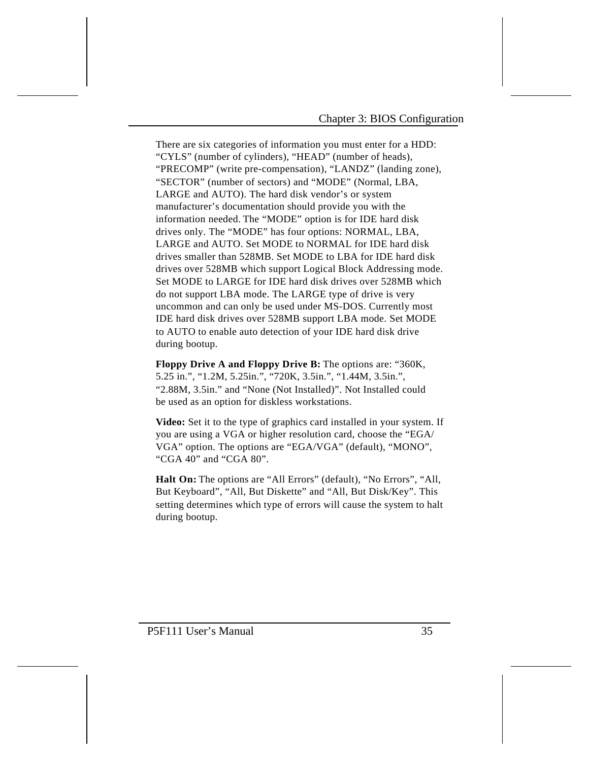There are six categories of information you must enter for a HDD: "CYLS" (number of cylinders), "HEAD" (number of heads), "PRECOMP" (write pre-compensation), "LANDZ" (landing zone), "SECTOR" (number of sectors) and "MODE" (Normal, LBA, LARGE and AUTO). The hard disk vendor's or system manufacturer's documentation should provide you with the information needed. The "MODE" option is for IDE hard disk drives only. The "MODE" has four options: NORMAL, LBA, LARGE and AUTO. Set MODE to NORMAL for IDE hard disk drives smaller than 528MB. Set MODE to LBA for IDE hard disk drives over 528MB which support Logical Block Addressing mode. Set MODE to LARGE for IDE hard disk drives over 528MB which do not support LBA mode. The LARGE type of drive is very uncommon and can only be used under MS-DOS. Currently most IDE hard disk drives over 528MB support LBA mode. Set MODE to AUTO to enable auto detection of your IDE hard disk drive during bootup.

**Floppy Drive A and Floppy Drive B:** The options are: "360K, 5.25 in.", "1.2M, 5.25in.", "720K, 3.5in.", "1.44M, 3.5in.", "2.88M, 3.5in." and "None (Not Installed)". Not Installed could be used as an option for diskless workstations.

**Video:** Set it to the type of graphics card installed in your system. If you are using a VGA or higher resolution card, choose the "EGA/ VGA" option. The options are "EGA/VGA" (default), "MONO", "CGA 40" and "CGA 80".

**Halt On:** The options are "All Errors" (default), "No Errors", "All, But Keyboard", "All, But Diskette" and "All, But Disk/Key". This setting determines which type of errors will cause the system to halt during bootup.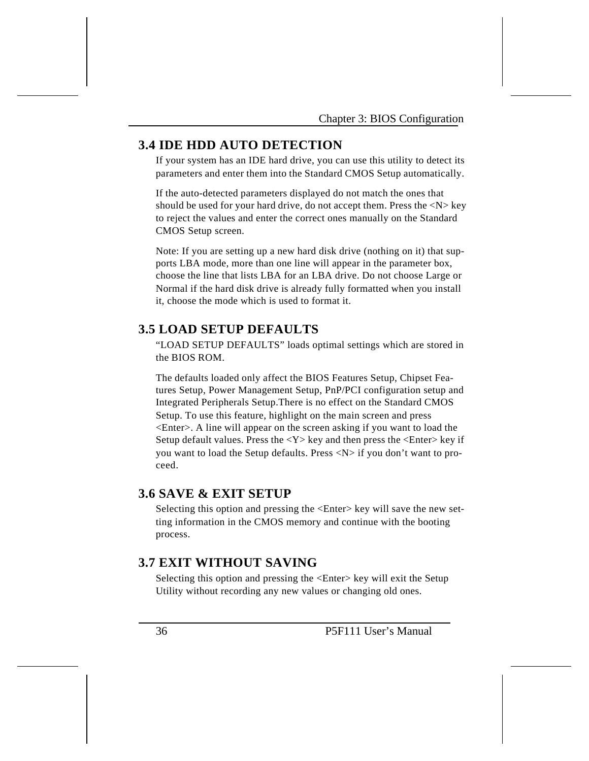## **3.4 IDE HDD AUTO DETECTION**

If your system has an IDE hard drive, you can use this utility to detect its parameters and enter them into the Standard CMOS Setup automatically.

If the auto-detected parameters displayed do not match the ones that should be used for your hard drive, do not accept them. Press the  $\langle N \rangle$  key to reject the values and enter the correct ones manually on the Standard CMOS Setup screen.

Note: If you are setting up a new hard disk drive (nothing on it) that supports LBA mode, more than one line will appear in the parameter box, choose the line that lists LBA for an LBA drive. Do not choose Large or Normal if the hard disk drive is already fully formatted when you install it, choose the mode which is used to format it.

# **3.5 LOAD SETUP DEFAULTS**

"LOAD SETUP DEFAULTS" loads optimal settings which are stored in the BIOS ROM.

The defaults loaded only affect the BIOS Features Setup, Chipset Features Setup, Power Management Setup, PnP/PCI configuration setup and Integrated Peripherals Setup.There is no effect on the Standard CMOS Setup. To use this feature, highlight on the main screen and press <Enter>. A line will appear on the screen asking if you want to load the Setup default values. Press the  $<\mathbf{Y}>$  key and then press the  $<\mathbf{Enter}>$  key if you want to load the Setup defaults. Press <N> if you don't want to proceed.

## **3.6 SAVE & EXIT SETUP**

Selecting this option and pressing the <Enter> key will save the new setting information in the CMOS memory and continue with the booting process.

# **3.7 EXIT WITHOUT SAVING**

Selecting this option and pressing the <Enter> key will exit the Setup Utility without recording any new values or changing old ones.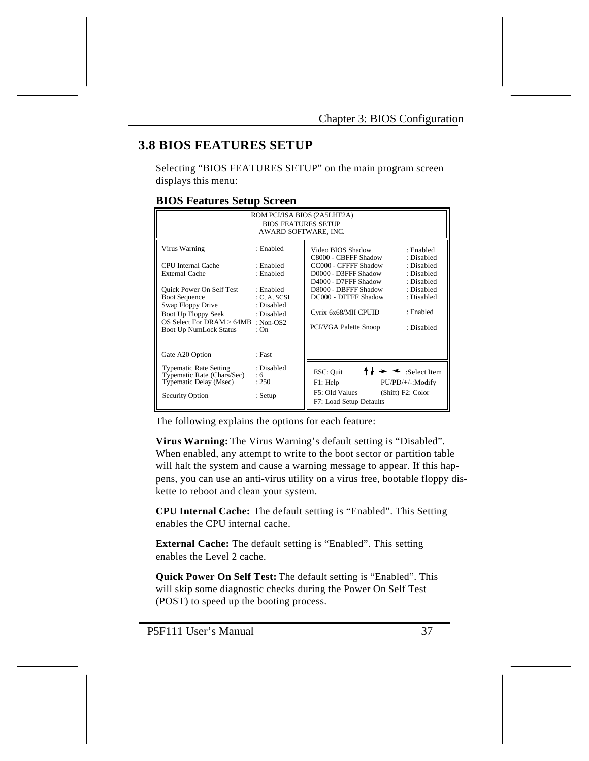# **3.8 BIOS FEATURES SETUP**

Selecting "BIOS FEATURES SETUP" on the main program screen displays this menu:

## **BIOS Features Setup Screen**

| ROM PCI/ISA BIOS (2A5LHF2A)<br><b>BIOS FEATURES SETUP</b><br>AWARD SOFTWARE, INC.                                                                                                                                                          |                                                                                                                       |                                                                                                                                                                                                                    |                                                                                                                          |  |  |
|--------------------------------------------------------------------------------------------------------------------------------------------------------------------------------------------------------------------------------------------|-----------------------------------------------------------------------------------------------------------------------|--------------------------------------------------------------------------------------------------------------------------------------------------------------------------------------------------------------------|--------------------------------------------------------------------------------------------------------------------------|--|--|
| Virus Warning<br><b>CPU</b> Internal Cache<br><b>External Cache</b><br><b>Ouick Power On Self Test</b><br><b>Boot Sequence</b><br>Swap Floppy Drive<br>Boot Up Floppy Seek<br>OS Select For $DRAM > 64MB$<br><b>Boot Up NumLock Status</b> | : Enabled<br>· Enabled<br>: Enabled<br>· Enabled<br>C, A, SCSI<br>: Disabled<br>: Disabled<br>$\cdot$ Non-OS2<br>: On | Video BIOS Shadow<br>C8000 - CBFFF Shadow<br>CC000 - CFFFF Shadow<br>D0000 - D3FFF Shadow<br>D4000 - D7FFF Shadow<br>D8000 - DBFFF Shadow<br>DC000 - DFFFF Shadow<br>Cyrix 6x68/MII CPUID<br>PCI/VGA Palette Snoop | : Enabled<br>: Disabled<br>: Disabled<br>: Disabled<br>: Disabled<br>: Disabled<br>: Disabled<br>: Enabled<br>: Disabled |  |  |
| Gate A20 Option<br><b>Typematic Rate Setting</b><br>Typematic Rate (Chars/Sec)<br>Typematic Delay (Msec)<br><b>Security Option</b>                                                                                                         | : Fast<br>: Disabled<br>:6<br>: 250<br>: Setup                                                                        | ESC: Quit<br>F1: Help<br>F5: Old Values<br>F7: Load Setup Defaults                                                                                                                                                 | $\leq$ :Select Item<br>PU/PD/+/-:Modify<br>(Shift) F2: Color                                                             |  |  |

The following explains the options for each feature:

**Virus Warning:** The Virus Warning's default setting is "Disabled". When enabled, any attempt to write to the boot sector or partition table will halt the system and cause a warning message to appear. If this happens, you can use an anti-virus utility on a virus free, bootable floppy diskette to reboot and clean your system.

**CPU Internal Cache:** The default setting is "Enabled". This Setting enables the CPU internal cache.

**External Cache:** The default setting is "Enabled". This setting enables the Level 2 cache.

**Quick Power On Self Test:** The default setting is "Enabled". This will skip some diagnostic checks during the Power On Self Test (POST) to speed up the booting process.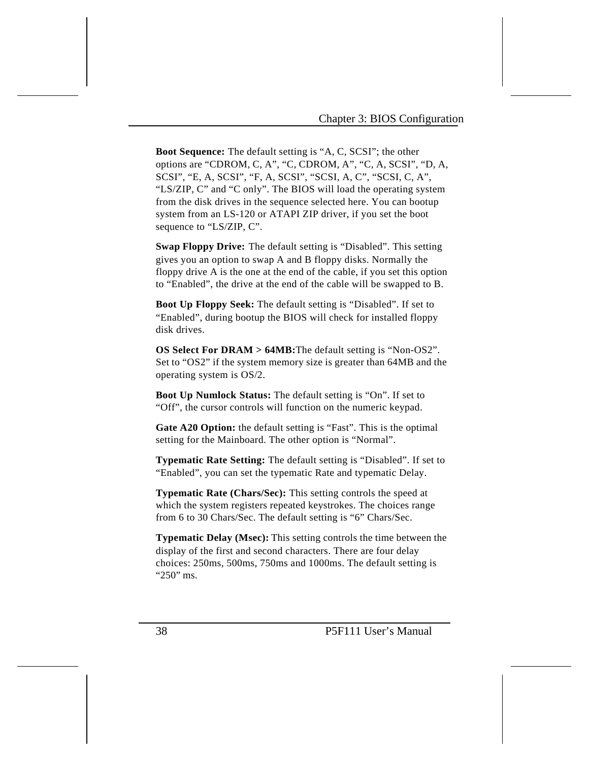**Boot Sequence:** The default setting is "A, C, SCSI"; the other options are "CDROM, C, A", "C, CDROM, A", "C, A, SCSI", "D, A, SCSI", "E, A, SCSI", "F, A, SCSI", "SCSI, A, C", "SCSI, C, A", "LS/ZIP, C" and "C only". The BIOS will load the operating system from the disk drives in the sequence selected here. You can bootup system from an LS-120 or ATAPI ZIP driver, if you set the boot sequence to "LS/ZIP, C".

**Swap Floppy Drive:** The default setting is "Disabled". This setting gives you an option to swap A and B floppy disks. Normally the floppy drive A is the one at the end of the cable, if you set this option to "Enabled", the drive at the end of the cable will be swapped to B.

**Boot Up Floppy Seek:** The default setting is "Disabled". If set to "Enabled", during bootup the BIOS will check for installed floppy disk drives.

**OS Select For DRAM > 64MB:**The default setting is "Non-OS2". Set to "OS2" if the system memory size is greater than 64MB and the operating system is OS/2.

**Boot Up Numlock Status:** The default setting is "On". If set to "Off", the cursor controls will function on the numeric keypad.

**Gate A20 Option:** the default setting is "Fast". This is the optimal setting for the Mainboard. The other option is "Normal".

**Typematic Rate Setting:** The default setting is "Disabled". If set to "Enabled", you can set the typematic Rate and typematic Delay.

**Typematic Rate (Chars/Sec):** This setting controls the speed at which the system registers repeated keystrokes. The choices range from 6 to 30 Chars/Sec. The default setting is "6" Chars/Sec.

**Typematic Delay (Msec):** This setting controls the time between the display of the first and second characters. There are four delay choices: 250ms, 500ms, 750ms and 1000ms. The default setting is "250" ms.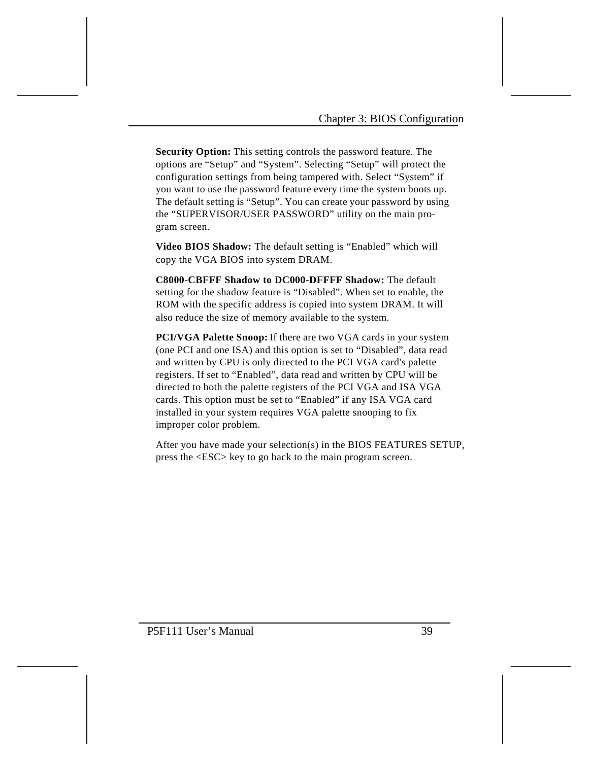**Security Option:** This setting controls the password feature. The options are "Setup" and "System". Selecting "Setup" will protect the configuration settings from being tampered with. Select "System" if you want to use the password feature every time the system boots up. The default setting is "Setup". You can create your password by using the "SUPERVISOR/USER PASSWORD" utility on the main program screen.

**Video BIOS Shadow:** The default setting is "Enabled" which will copy the VGA BIOS into system DRAM.

**C8000-CBFFF Shadow to DC000-DFFFF Shadow:** The default setting for the shadow feature is "Disabled". When set to enable, the ROM with the specific address is copied into system DRAM. It will also reduce the size of memory available to the system.

**PCI/VGA Palette Snoop:** If there are two VGA cards in your system (one PCI and one ISA) and this option is set to "Disabled", data read and written by CPU is only directed to the PCI VGA card's palette registers. If set to "Enabled", data read and written by CPU will be directed to both the palette registers of the PCI VGA and ISA VGA cards. This option must be set to "Enabled" if any ISA VGA card installed in your system requires VGA palette snooping to fix improper color problem.

After you have made your selection(s) in the BIOS FEATURES SETUP, press the <ESC> key to go back to the main program screen.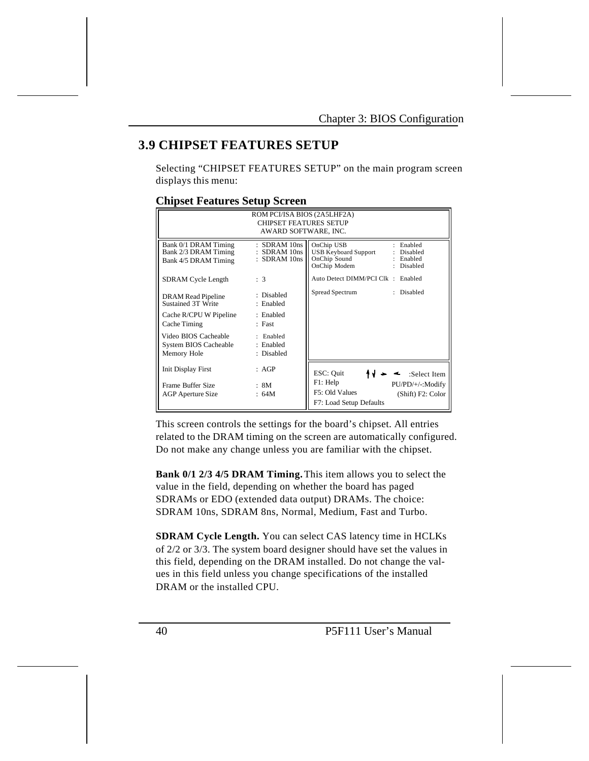# **3.9 CHIPSET FEATURES SETUP**

Selecting "CHIPSET FEATURES SETUP" on the main program screen displays this menu:

## **Chipset Features Setup Screen**

| ROM PCI/ISA BIOS (2A5LHF2A)<br><b>CHIPSET FEATURES SETUP</b><br>AWARD SOFTWARE, INC. |                                                  |                                                                                                                               |  |  |  |  |
|--------------------------------------------------------------------------------------|--------------------------------------------------|-------------------------------------------------------------------------------------------------------------------------------|--|--|--|--|
| Bank 0/1 DRAM Timing<br>Bank 2/3 DRAM Timing<br>Bank 4/5 DRAM Timing                 | $:$ SDRAM 10ns<br>SDRAM 10ns<br>$:$ SDRAM $10ns$ | OnChip USB<br>: Enabled<br><b>USB Keyboard Support</b><br>Disabled<br>OnChip Sound<br>: Enabled<br>OnChip Modem<br>: Disabled |  |  |  |  |
| SDRAM Cycle Length                                                                   | : 3                                              | Auto Detect DIMM/PCI Clk : Enabled                                                                                            |  |  |  |  |
| DRAM Read Pipeline<br>Sustained 3T Write                                             | : Disabled<br>: Enabled                          | Spread Spectrum<br>: Disabled                                                                                                 |  |  |  |  |
| Cache R/CPU W Pipeline<br>Cache Timing                                               | : Enabled<br>: Fast                              |                                                                                                                               |  |  |  |  |
| Video BIOS Cacheable<br>System BIOS Cacheable<br>Memory Hole                         | : Enabled<br>: Enabled<br>: Disabled             |                                                                                                                               |  |  |  |  |
| <b>Init Display First</b><br>Frame Buffer Size<br><b>AGP</b> Aperture Size           | : AGP<br>: 8M<br>: 64M                           | ESC: Quit<br>:Select Item<br>F1: Help<br>PU/PD/+/-:Modify<br>F5: Old Values<br>(Shift) F2: Color                              |  |  |  |  |
|                                                                                      |                                                  | F7: Load Setup Defaults                                                                                                       |  |  |  |  |

This screen controls the settings for the board's chipset. All entries related to the DRAM timing on the screen are automatically configured. Do not make any change unless you are familiar with the chipset.

**Bank 0/1 2/3 4/5 DRAM Timing.** This item allows you to select the value in the field, depending on whether the board has paged SDRAMs or EDO (extended data output) DRAMs. The choice: SDRAM 10ns, SDRAM 8ns, Normal, Medium, Fast and Turbo.

**SDRAM Cycle Length.** You can select CAS latency time in HCLKs of 2/2 or 3/3. The system board designer should have set the values in this field, depending on the DRAM installed. Do not change the values in this field unless you change specifications of the installed DRAM or the installed CPU.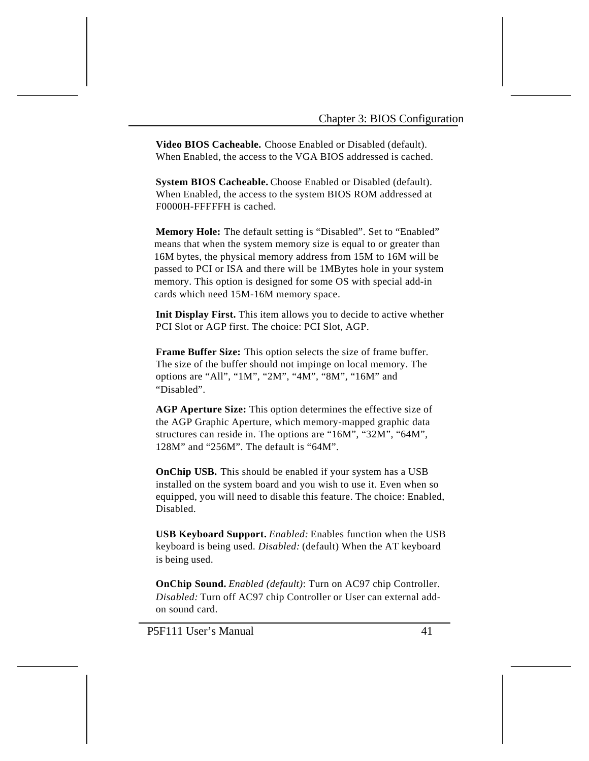**Video BIOS Cacheable.** Choose Enabled or Disabled (default). When Enabled, the access to the VGA BIOS addressed is cached.

**System BIOS Cacheable.** Choose Enabled or Disabled (default). When Enabled, the access to the system BIOS ROM addressed at F0000H-FFFFFH is cached.

**Memory Hole:** The default setting is "Disabled". Set to "Enabled" means that when the system memory size is equal to or greater than 16M bytes, the physical memory address from 15M to 16M will be passed to PCI or ISA and there will be 1MBytes hole in your system memory. This option is designed for some OS with special add-in cards which need 15M-16M memory space.

**Init Display First.** This item allows you to decide to active whether PCI Slot or AGP first. The choice: PCI Slot, AGP.

**Frame Buffer Size:** This option selects the size of frame buffer. The size of the buffer should not impinge on local memory. The options are "All", "1M", "2M", "4M", "8M", "16M" and "Disabled".

**AGP Aperture Size:** This option determines the effective size of the AGP Graphic Aperture, which memory-mapped graphic data structures can reside in. The options are "16M", "32M", "64M", 128M" and "256M". The default is "64M".

**OnChip USB.** This should be enabled if your system has a USB installed on the system board and you wish to use it. Even when so equipped, you will need to disable this feature. The choice: Enabled, Disabled.

**USB Keyboard Support.** *Enabled:* Enables function when the USB keyboard is being used. *Disabled:* (default) When the AT keyboard is being used.

**OnChip Sound.** *Enabled (default)*: Turn on AC97 chip Controller. *Disabled:* Turn off AC97 chip Controller or User can external addon sound card.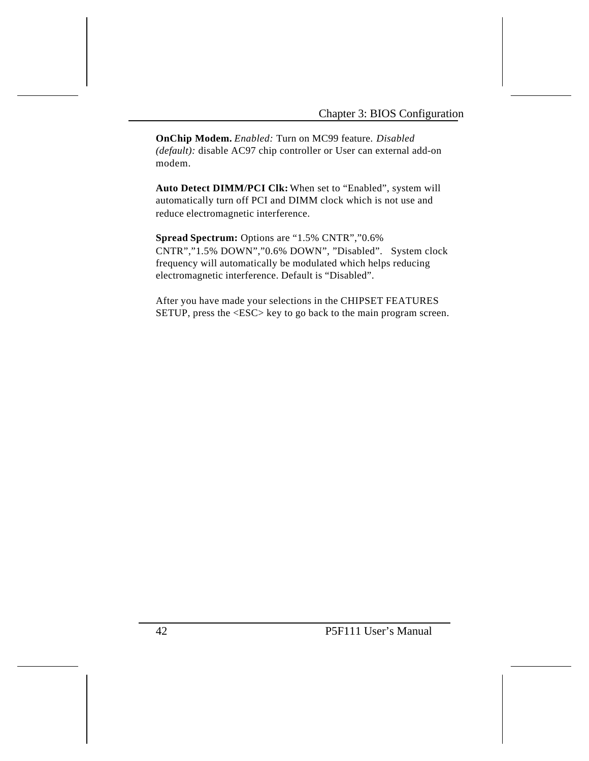**OnChip Modem.** *Enabled:* Turn on MC99 feature. *Disabled (default):* disable AC97 chip controller or User can external add-on modem.

**Auto Detect DIMM/PCI Clk:** When set to "Enabled", system will automatically turn off PCI and DIMM clock which is not use and reduce electromagnetic interference.

**Spread Spectrum:** Options are "1.5% CNTR","0.6% CNTR","1.5% DOWN","0.6% DOWN", "Disabled". System clock frequency will automatically be modulated which helps reducing electromagnetic interference. Default is "Disabled".

After you have made your selections in the CHIPSET FEATURES SETUP, press the <ESC> key to go back to the main program screen.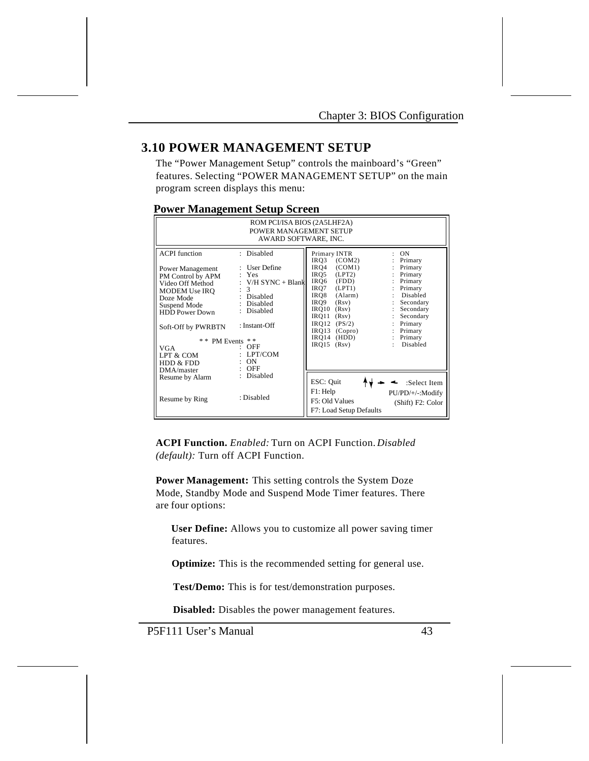## **3.10 POWER MANAGEMENT SETUP**

The "Power Management Setup" controls the mainboard's "Green" features. Selecting "POWER MANAGEMENT SETUP" on the main program screen displays this menu:

## **Power Management Setup Screen**

| ROM PCI/ISA BIOS (2A5LHF2A)<br>POWER MANAGEMENT SETUP<br>AWARD SOFTWARE, INC.                                                                                                                                                                  |                                                                                                                                                                            |                                                                                                                                                                                                                                                                                                                                                                                                                                                            |  |  |  |  |
|------------------------------------------------------------------------------------------------------------------------------------------------------------------------------------------------------------------------------------------------|----------------------------------------------------------------------------------------------------------------------------------------------------------------------------|------------------------------------------------------------------------------------------------------------------------------------------------------------------------------------------------------------------------------------------------------------------------------------------------------------------------------------------------------------------------------------------------------------------------------------------------------------|--|--|--|--|
| <b>ACPI</b> function<br>Power Management<br>PM Control by APM<br>Video Off Method<br>MODEM Use IRQ<br>Doze Mode<br>Suspend Mode<br><b>HDD</b> Power Down<br>Soft-Off by PWRBTN<br>* * PM Events<br>VGA<br>LPT & COM<br>HDD & FDD<br>DMA/master | : Disabled<br>: User Define<br>Yes<br>$V/H$ SYNC + Blank<br>3<br>Disabled<br>Disabled<br>Disabled<br>: Instant-Off<br>* *<br>$:$ OFF<br>LPT/COM<br><b>ON</b><br><b>OFF</b> | Primary INTR<br><b>ON</b><br>IRO3<br>(COM2)<br>Primary<br>(COM1)<br>Primary<br>IRO4<br>(LPT2)<br>IRO5<br>Primary<br>÷.<br>Primary<br>IRO6<br>(FDD)<br>IRQ7<br>(LPT1)<br>Primary<br>Disabled<br>(Alarm)<br>IRO8<br>÷.<br>IRO9<br>Secondary<br>(Rsv)<br>IRQ10<br>Secondary<br>(Rsv)<br>IRO11<br>Secondary<br>(Rsv)<br>$\mathbf{I}$<br>$IRO12$ $(PS/2)$<br>Primary<br>$IRO13$ (Copro)<br>: Primary<br>IRO14<br>(HDD)<br>Primary<br>Disabled<br>IRO15<br>(Rsv) |  |  |  |  |
| Resume by Alarm<br>Resume by Ring                                                                                                                                                                                                              | : Disabled<br>: Disabled                                                                                                                                                   | ESC: Quit<br>:Select Item<br>F1: Help<br>PU/PD/+/-:Modify<br>F5: Old Values<br>(Shift) F2: Color<br>F7: Load Setup Defaults                                                                                                                                                                                                                                                                                                                                |  |  |  |  |

**ACPI Function.** *Enabled:* Turn on ACPI Function. *Disabled (default):* Turn off ACPI Function.

**Power Management:** This setting controls the System Doze Mode, Standby Mode and Suspend Mode Timer features. There are four options:

 **User Define:** Allows you to customize all power saving timer features.

 **Optimize:** This is the recommended setting for general use.

**Test/Demo:** This is for test/demonstration purposes.

**Disabled:** Disables the power management features.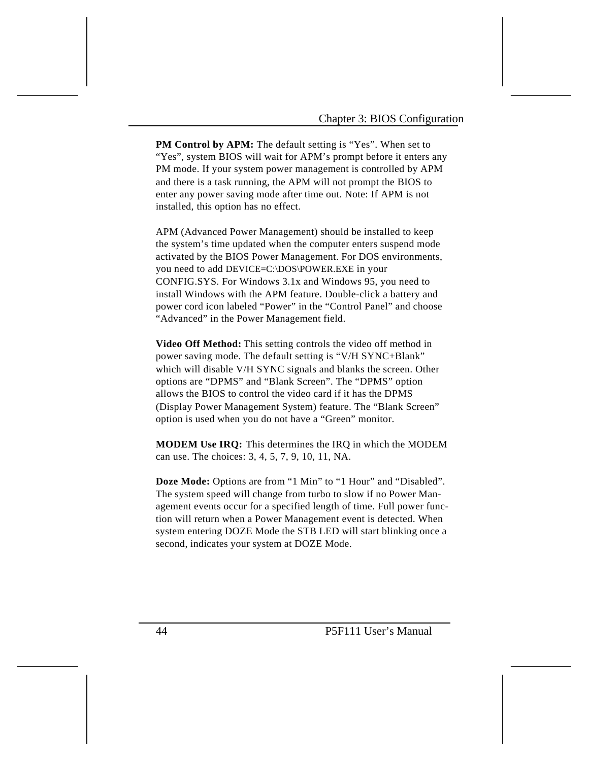**PM Control by APM:** The default setting is "Yes". When set to "Yes", system BIOS will wait for APM's prompt before it enters any PM mode. If your system power management is controlled by APM and there is a task running, the APM will not prompt the BIOS to enter any power saving mode after time out. Note: If APM is not installed, this option has no effect.

APM (Advanced Power Management) should be installed to keep the system's time updated when the computer enters suspend mode activated by the BIOS Power Management. For DOS environments, you need to add DEVICE=C:\DOS\POWER.EXE in your CONFIG.SYS. For Windows 3.1x and Windows 95, you need to install Windows with the APM feature. Double-click a battery and power cord icon labeled "Power" in the "Control Panel" and choose "Advanced" in the Power Management field.

**Video Off Method:** This setting controls the video off method in power saving mode. The default setting is "V/H SYNC+Blank" which will disable V/H SYNC signals and blanks the screen. Other options are "DPMS" and "Blank Screen". The "DPMS" option allows the BIOS to control the video card if it has the DPMS (Display Power Management System) feature. The "Blank Screen" option is used when you do not have a "Green" monitor.

**MODEM Use IRQ:** This determines the IRQ in which the MODEM can use. The choices: 3, 4, 5, 7, 9, 10, 11, NA.

**Doze Mode:** Options are from "1 Min" to "1 Hour" and "Disabled". The system speed will change from turbo to slow if no Power Management events occur for a specified length of time. Full power function will return when a Power Management event is detected. When system entering DOZE Mode the STB LED will start blinking once a second, indicates your system at DOZE Mode.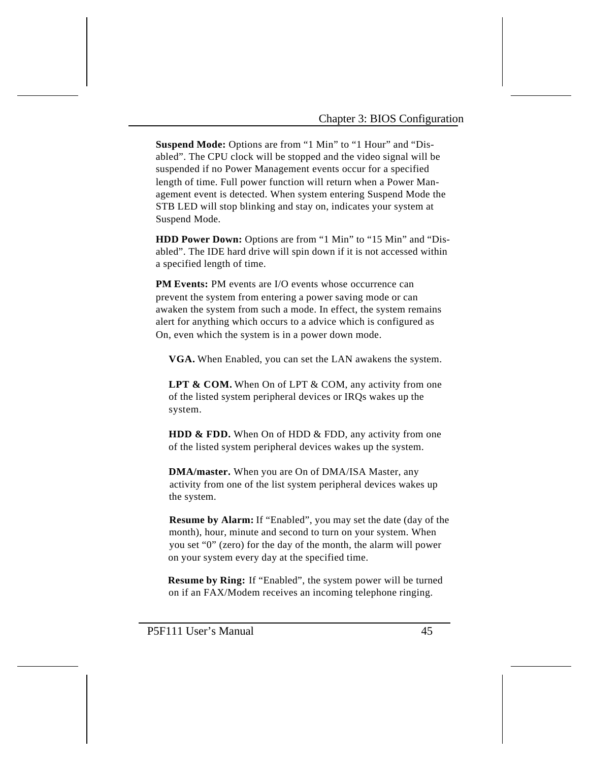**Suspend Mode:** Options are from "1 Min" to "1 Hour" and "Disabled". The CPU clock will be stopped and the video signal will be suspended if no Power Management events occur for a specified length of time. Full power function will return when a Power Management event is detected. When system entering Suspend Mode the STB LED will stop blinking and stay on, indicates your system at Suspend Mode.

**HDD Power Down:** Options are from "1 Min" to "15 Min" and "Disabled". The IDE hard drive will spin down if it is not accessed within a specified length of time.

**PM Events:** PM events are I/O events whose occurrence can prevent the system from entering a power saving mode or can awaken the system from such a mode. In effect, the system remains alert for anything which occurs to a advice which is configured as On, even which the system is in a power down mode.

**VGA.** When Enabled, you can set the LAN awakens the system.

LPT & COM. When On of LPT & COM, any activity from one of the listed system peripheral devices or IRQs wakes up the system.

**HDD & FDD.** When On of HDD & FDD, any activity from one of the listed system peripheral devices wakes up the system.

 **DMA/master.** When you are On of DMA/ISA Master, any activity from one of the list system peripheral devices wakes up the system.

 **Resume by Alarm:** If "Enabled", you may set the date (day of the month), hour, minute and second to turn on your system. When you set "0" (zero) for the day of the month, the alarm will power on your system every day at the specified time.

 **Resume by Ring:** If "Enabled", the system power will be turned on if an FAX/Modem receives an incoming telephone ringing.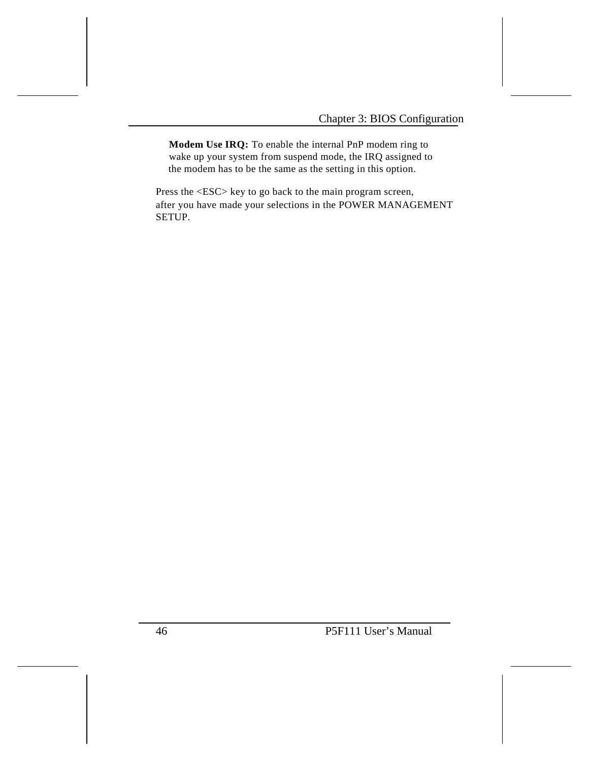**Modem Use IRQ:** To enable the internal PnP modem ring to wake up your system from suspend mode, the IRQ assigned to the modem has to be the same as the setting in this option.

Press the <ESC> key to go back to the main program screen, after you have made your selections in the POWER MANAGEMENT SETUP.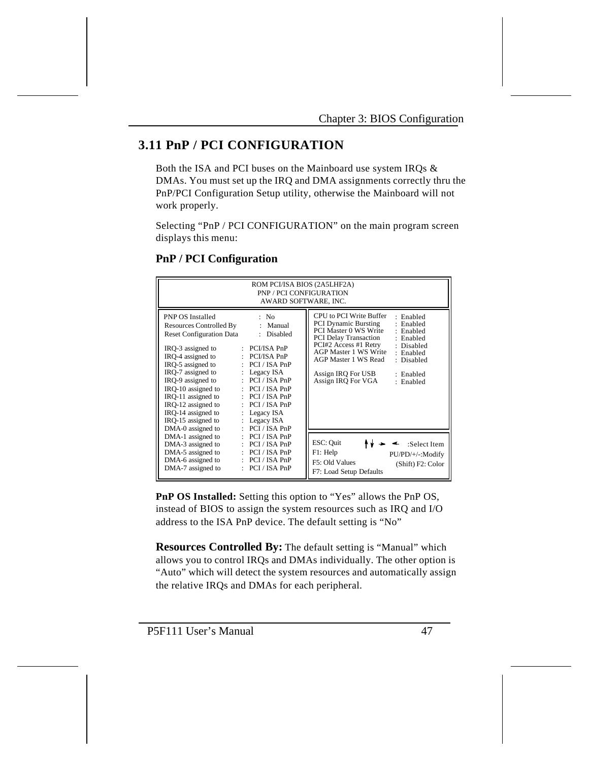# **3.11 PnP / PCI CONFIGURATION**

Both the ISA and PCI buses on the Mainboard use system IRQs & DMAs. You must set up the IRQ and DMA assignments correctly thru the PnP/PCI Configuration Setup utility, otherwise the Mainboard will not work properly.

Selecting "PnP / PCI CONFIGURATION" on the main program screen displays this menu:

| ROM PCI/ISA BIOS (2A5LHF2A)<br><b>PNP / PCI CONFIGURATION</b><br>AWARD SOFTWARE, INC.                                                                                                                                                                                                                                                                          |                                                                                                                                                                                                                                                                                                                              |                                                                                                                                                                                                                                                                                                                                                                     |  |  |  |  |
|----------------------------------------------------------------------------------------------------------------------------------------------------------------------------------------------------------------------------------------------------------------------------------------------------------------------------------------------------------------|------------------------------------------------------------------------------------------------------------------------------------------------------------------------------------------------------------------------------------------------------------------------------------------------------------------------------|---------------------------------------------------------------------------------------------------------------------------------------------------------------------------------------------------------------------------------------------------------------------------------------------------------------------------------------------------------------------|--|--|--|--|
| <b>PNP OS Installed</b><br>Resources Controlled By<br><b>Reset Configuration Data</b><br>IRQ-3 assigned to<br>IRO-4 assigned to<br>IRQ-5 assigned to<br>IRQ-7 assigned to<br>IRQ-9 assigned to<br>IRO-10 assigned to<br>IRQ-11 assigned to<br>IRO-12 assigned to<br>IRQ-14 assigned to<br>$\mathbb{R}^{\mathbb{Z}}$<br>IRO-15 assigned to<br>DMA-0 assigned to | : No<br>: Manual<br>: Disabled<br>$: PCI/ISA$ PnP<br>$\therefore$ PCI/ISA PnP<br>$\therefore$ PCI / ISA PnP<br>: Legacy $ISA$<br>$\therefore$ PCI / ISA PnP<br>$\therefore$ PCI / ISA PnP<br>$\therefore$ PCI / ISA PnP<br>$\therefore$ PCI / ISA PnP<br>Legacy ISA<br>$\therefore$ Legacy ISA<br>$\therefore$ PCI / ISA PnP | CPU to PCI Write Buffer<br>· Enabled<br><b>PCI Dynamic Bursting</b><br>: Enabled<br>PCI Master 0 WS Write<br>· Enabled<br><b>PCI Delay Transaction</b><br>· Enabled<br>PCI#2 Access #1 Retry<br>: Disabled<br><b>AGP Master 1 WS Write</b><br>: Enabled<br>AGP Master 1 WS Read<br>: Disabled<br>Assign IRO For USB<br>· Enabled<br>Assign IRQ For VGA<br>: Enabled |  |  |  |  |
| DMA-1 assigned to<br>DMA-3 assigned to<br>÷.<br>DMA-5 assigned to<br>DMA-6 assigned to<br>DMA-7 assigned to                                                                                                                                                                                                                                                    | PCI / ISA PnP<br>PCI / ISA PnP<br>$\therefore$ PCI / ISA PnP<br>$:$ PCI / ISA PnP<br>$\therefore$ PCI / ISA PnP                                                                                                                                                                                                              | ESC: Quit<br>:Select Item<br>F1: Help<br>PU/PD/+/-:Modify<br>F5: Old Values<br>(Shift) F2: Color<br>F7: Load Setup Defaults                                                                                                                                                                                                                                         |  |  |  |  |

## **PnP / PCI Configuration**

**PnP OS Installed:** Setting this option to "Yes" allows the PnP OS, instead of BIOS to assign the system resources such as IRQ and I/O address to the ISA PnP device. The default setting is "No"

**Resources Controlled By:** The default setting is "Manual" which allows you to control IRQs and DMAs individually. The other option is "Auto" which will detect the system resources and automatically assign the relative IRQs and DMAs for each peripheral.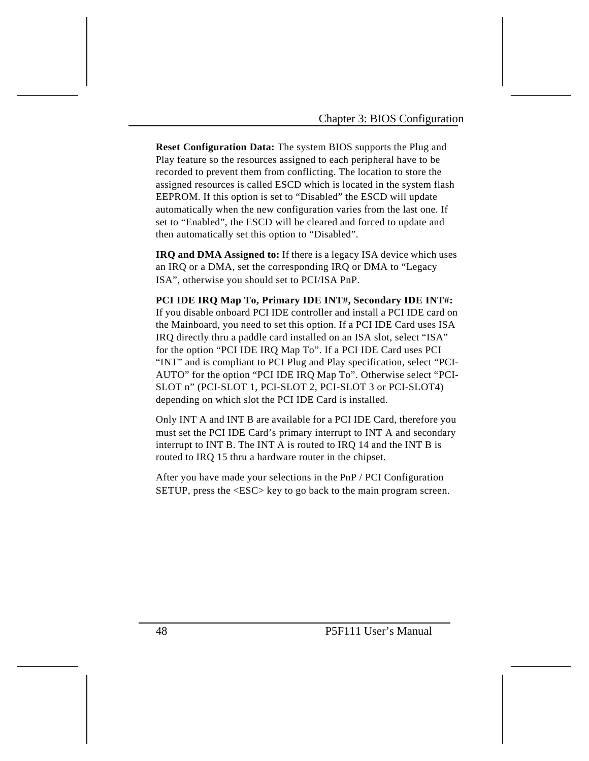**Reset Configuration Data:** The system BIOS supports the Plug and Play feature so the resources assigned to each peripheral have to be recorded to prevent them from conflicting. The location to store the assigned resources is called ESCD which is located in the system flash EEPROM. If this option is set to "Disabled" the ESCD will update automatically when the new configuration varies from the last one. If set to "Enabled", the ESCD will be cleared and forced to update and then automatically set this option to "Disabled".

**IRQ and DMA Assigned to:** If there is a legacy ISA device which uses an IRQ or a DMA, set the corresponding IRQ or DMA to "Legacy ISA", otherwise you should set to PCI/ISA PnP.

**PCI IDE IRQ Map To, Primary IDE INT#, Secondary IDE INT#:**  If you disable onboard PCI IDE controller and install a PCI IDE card on the Mainboard, you need to set this option. If a PCI IDE Card uses ISA IRQ directly thru a paddle card installed on an ISA slot, select "ISA" for the option "PCI IDE IRQ Map To". If a PCI IDE Card uses PCI "INT" and is compliant to PCI Plug and Play specification, select "PCI-AUTO" for the option "PCI IDE IRQ Map To". Otherwise select "PCI-SLOT n" (PCI-SLOT 1, PCI-SLOT 2, PCI-SLOT 3 or PCI-SLOT4) depending on which slot the PCI IDE Card is installed.

Only INT A and INT B are available for a PCI IDE Card, therefore you must set the PCI IDE Card's primary interrupt to INT A and secondary interrupt to INT B. The INT A is routed to IRQ 14 and the INT B is routed to IRQ 15 thru a hardware router in the chipset.

After you have made your selections in the PnP / PCI Configuration SETUP, press the <ESC> key to go back to the main program screen.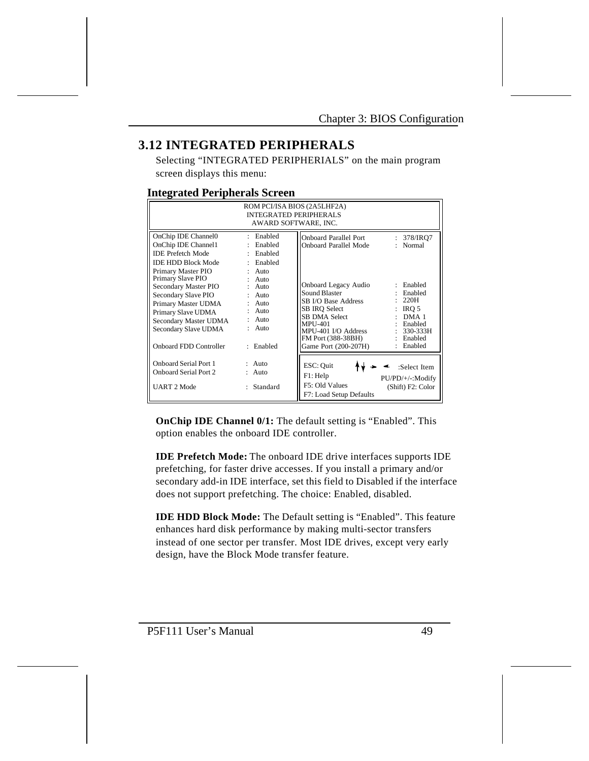# **3.12 INTEGRATED PERIPHERALS**

Selecting "INTEGRATED PERIPHERIALS" on the main program screen displays this menu:

### **Integrated Peripherals Screen**

| ROM PCI/ISA BIOS (2A5LHF2A)<br><b>INTEGRATED PERIPHERALS</b><br>AWARD SOFTWARE, INC.                                                                                       |                                                                                   |                                                                                                                                                                                       |                                                                                                               |  |  |
|----------------------------------------------------------------------------------------------------------------------------------------------------------------------------|-----------------------------------------------------------------------------------|---------------------------------------------------------------------------------------------------------------------------------------------------------------------------------------|---------------------------------------------------------------------------------------------------------------|--|--|
| OnChip IDE Channel0<br>OnChip IDE Channel1<br><b>IDE Prefetch Mode</b><br><b>IDE HDD Block Mode</b><br>Primary Master PIO<br>Primary Slave PIO                             | : Enabled<br>: Enabled<br>: Enabled<br>: Enabled<br>$:$ Auto<br>$:$ Auto          | <b>Onboard Parallel Port</b><br><b>Onboard Parallel Mode</b>                                                                                                                          | 378/IRO7<br>$\mathbf{L}$<br>: Normal                                                                          |  |  |
| Secondary Master PIO<br>Secondary Slave PIO<br>Primary Master UDMA<br>Primary Slave UDMA<br>Secondary Master UDMA<br>Secondary Slave UDMA<br><b>Onboard FDD Controller</b> | $:$ Auto<br>$:$ Auto<br>$:$ Auto<br>$:$ Auto<br>$:$ Auto<br>$:$ Auto<br>: Enabled | Onboard Legacy Audio<br>Sound Blaster<br>SB I/O Base Address<br>SB IRO Select<br>SB DMA Select<br><b>MPU-401</b><br>MPU-401 I/O Address<br>FM Port (388-38BH)<br>Game Port (200-207H) | : Enabled<br>: Enabled<br>: 220H<br>IRO 5<br>$:$ DMA 1<br>: Enabled<br>$: 330-333H$<br>: Enabled<br>: Enabled |  |  |
| <b>Onboard Serial Port 1</b><br><b>Onboard Serial Port 2</b><br><b>UART 2 Mode</b>                                                                                         | $:$ Auto<br>$:$ Auto<br>: Standard                                                | ESC: Quit<br>F1: Help<br>F5: Old Values<br>F7: Load Setup Defaults                                                                                                                    | :Select Item<br>PU/PD/+/-:Modify<br>(Shift) F2: Color                                                         |  |  |

**OnChip IDE Channel 0/1:** The default setting is "Enabled". This option enables the onboard IDE controller.

**IDE Prefetch Mode:** The onboard IDE drive interfaces supports IDE prefetching, for faster drive accesses. If you install a primary and/or secondary add-in IDE interface, set this field to Disabled if the interface does not support prefetching. The choice: Enabled, disabled.

**IDE HDD Block Mode:** The Default setting is "Enabled". This feature enhances hard disk performance by making multi-sector transfers instead of one sector per transfer. Most IDE drives, except very early design, have the Block Mode transfer feature.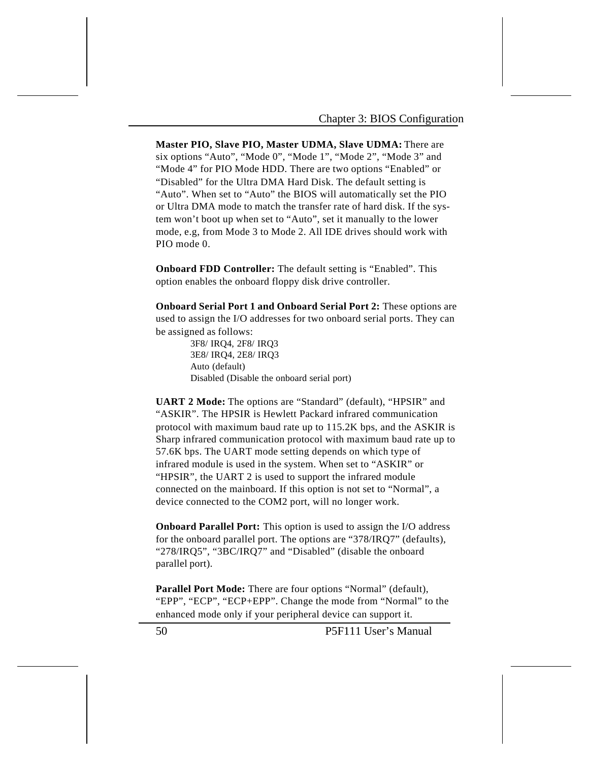**Master PIO, Slave PIO, Master UDMA, Slave UDMA:** There are six options "Auto", "Mode 0", "Mode 1", "Mode 2", "Mode 3" and "Mode 4" for PIO Mode HDD. There are two options "Enabled" or "Disabled" for the Ultra DMA Hard Disk. The default setting is "Auto". When set to "Auto" the BIOS will automatically set the PIO or Ultra DMA mode to match the transfer rate of hard disk. If the system won't boot up when set to "Auto", set it manually to the lower mode, e.g, from Mode 3 to Mode 2. All IDE drives should work with PIO mode 0.

**Onboard FDD Controller:** The default setting is "Enabled". This option enables the onboard floppy disk drive controller.

**Onboard Serial Port 1 and Onboard Serial Port 2:** These options are used to assign the I/O addresses for two onboard serial ports. They can be assigned as follows:

> 3F8/ IRQ4, 2F8/ IRQ3 3E8/ IRQ4, 2E8/ IRQ3 Auto (default) Disabled (Disable the onboard serial port)

**UART 2 Mode:** The options are "Standard" (default), "HPSIR" and "ASKIR". The HPSIR is Hewlett Packard infrared communication protocol with maximum baud rate up to 115.2K bps, and the ASKIR is Sharp infrared communication protocol with maximum baud rate up to 57.6K bps. The UART mode setting depends on which type of infrared module is used in the system. When set to "ASKIR" or "HPSIR", the UART 2 is used to support the infrared module connected on the mainboard. If this option is not set to "Normal", a device connected to the COM2 port, will no longer work.

**Onboard Parallel Port:** This option is used to assign the I/O address for the onboard parallel port. The options are "378/IRQ7" (defaults), "278/IRQ5", "3BC/IRQ7" and "Disabled" (disable the onboard parallel port).

Parallel Port Mode: There are four options "Normal" (default), "EPP", "ECP", "ECP+EPP". Change the mode from "Normal" to the enhanced mode only if your peripheral device can support it.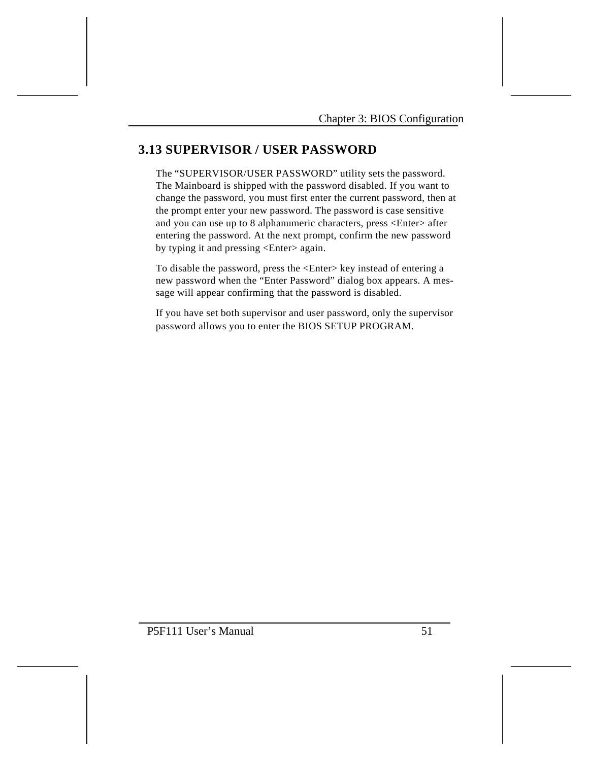# **3.13 SUPERVISOR / USER PASSWORD**

The "SUPERVISOR/USER PASSWORD" utility sets the password. The Mainboard is shipped with the password disabled. If you want to change the password, you must first enter the current password, then at the prompt enter your new password. The password is case sensitive and you can use up to 8 alphanumeric characters, press <Enter> after entering the password. At the next prompt, confirm the new password by typing it and pressing <Enter> again.

To disable the password, press the <Enter> key instead of entering a new password when the "Enter Password" dialog box appears. A message will appear confirming that the password is disabled.

If you have set both supervisor and user password, only the supervisor password allows you to enter the BIOS SETUP PROGRAM.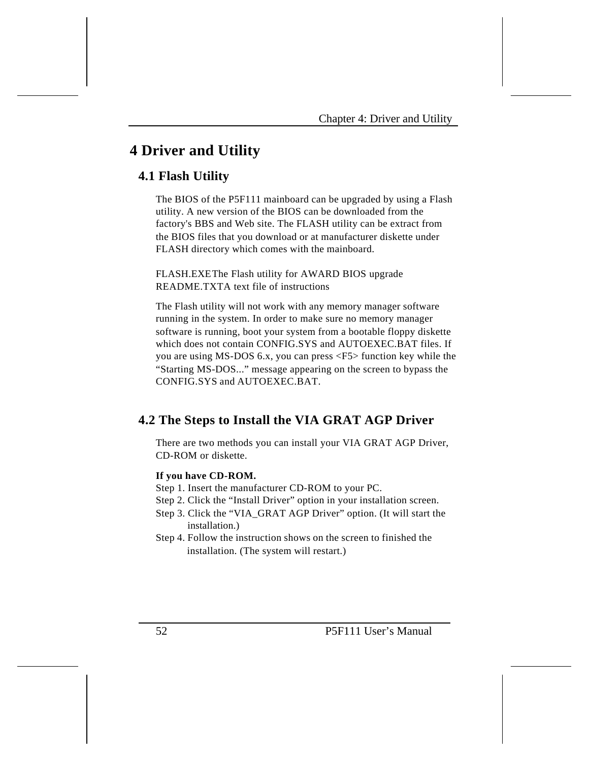# **4 Driver and Utility**

# **4.1 Flash Utility**

The BIOS of the P5F111 mainboard can be upgraded by using a Flash utility. A new version of the BIOS can be downloaded from the factory's BBS and Web site. The FLASH utility can be extract from the BIOS files that you download or at manufacturer diskette under FLASH directory which comes with the mainboard.

FLASH.EXEThe Flash utility for AWARD BIOS upgrade README.TXTA text file of instructions

The Flash utility will not work with any memory manager software running in the system. In order to make sure no memory manager software is running, boot your system from a bootable floppy diskette which does not contain CONFIG.SYS and AUTOEXEC.BAT files. If you are using MS-DOS 6.x, you can press <F5> function key while the "Starting MS-DOS..." message appearing on the screen to bypass the CONFIG.SYS and AUTOEXEC.BAT.

# **4.2 The Steps to Install the VIA GRAT AGP Driver**

There are two methods you can install your VIA GRAT AGP Driver, CD-ROM or diskette.

### **If you have CD-ROM.**

- Step 1. Insert the manufacturer CD-ROM to your PC.
- Step 2. Click the "Install Driver" option in your installation screen.
- Step 3. Click the "VIA\_GRAT AGP Driver" option. (It will start the installation.)
- Step 4. Follow the instruction shows on the screen to finished the installation. (The system will restart.)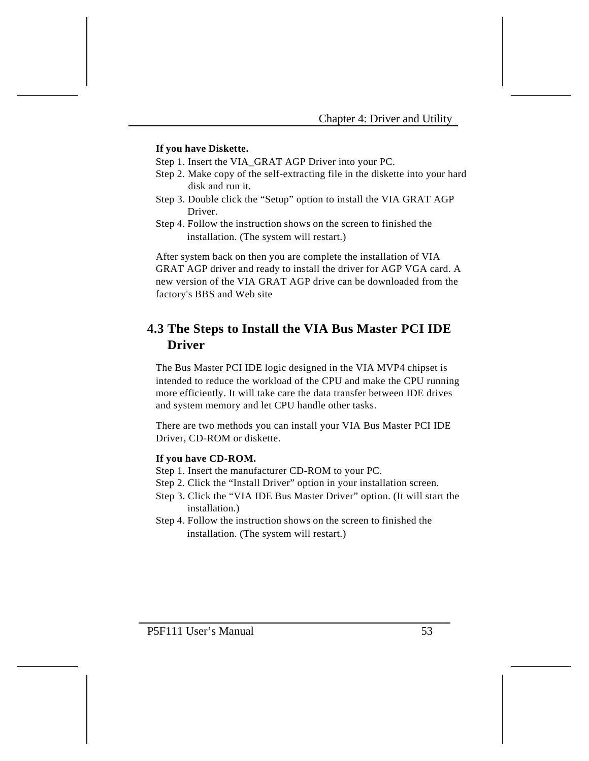### **If you have Diskette.**

Step 1. Insert the VIA\_GRAT AGP Driver into your PC.

- Step 2. Make copy of the self-extracting file in the diskette into your hard disk and run it.
- Step 3. Double click the "Setup" option to install the VIA GRAT AGP Driver.
- Step 4. Follow the instruction shows on the screen to finished the installation. (The system will restart.)

After system back on then you are complete the installation of VIA GRAT AGP driver and ready to install the driver for AGP VGA card. A new version of the VIA GRAT AGP drive can be downloaded from the factory's BBS and Web site

# **4.3 The Steps to Install the VIA Bus Master PCI IDE Driver**

The Bus Master PCI IDE logic designed in the VIA MVP4 chipset is intended to reduce the workload of the CPU and make the CPU running more efficiently. It will take care the data transfer between IDE drives and system memory and let CPU handle other tasks.

There are two methods you can install your VIA Bus Master PCI IDE Driver, CD-ROM or diskette.

## **If you have CD-ROM.**

- Step 1. Insert the manufacturer CD-ROM to your PC.
- Step 2. Click the "Install Driver" option in your installation screen.
- Step 3. Click the "VIA IDE Bus Master Driver" option. (It will start the installation.)
- Step 4. Follow the instruction shows on the screen to finished the installation. (The system will restart.)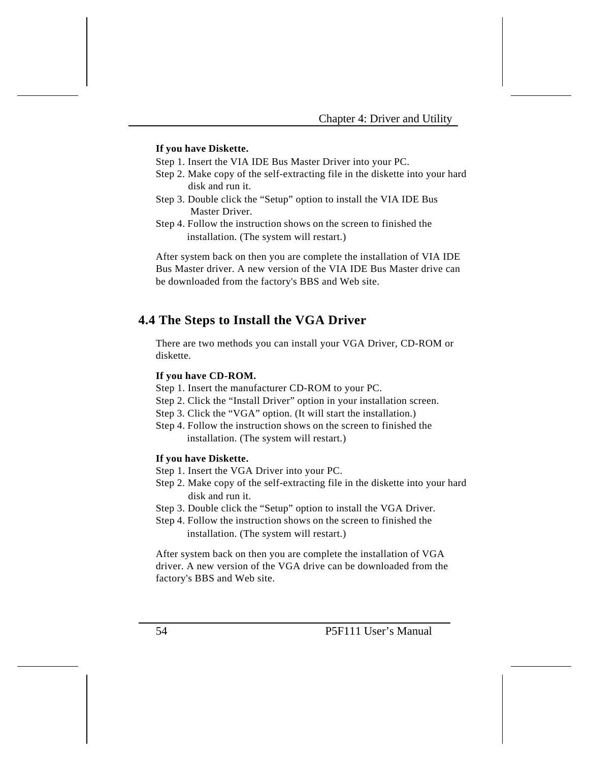#### **If you have Diskette.**

Step 1. Insert the VIA IDE Bus Master Driver into your PC.

- Step 2. Make copy of the self-extracting file in the diskette into your hard disk and run it.
- Step 3. Double click the "Setup" option to install the VIA IDE Bus Master Driver.
- Step 4. Follow the instruction shows on the screen to finished the installation. (The system will restart.)

After system back on then you are complete the installation of VIA IDE Bus Master driver. A new version of the VIA IDE Bus Master drive can be downloaded from the factory's BBS and Web site.

## **4.4 The Steps to Install the VGA Driver**

There are two methods you can install your VGA Driver, CD-ROM or diskette.

#### **If you have CD-ROM.**

- Step 1. Insert the manufacturer CD-ROM to your PC.
- Step 2. Click the "Install Driver" option in your installation screen.
- Step 3. Click the "VGA" option. (It will start the installation.)
- Step 4. Follow the instruction shows on the screen to finished the installation. (The system will restart.)

### **If you have Diskette.**

- Step 1. Insert the VGA Driver into your PC.
- Step 2. Make copy of the self-extracting file in the diskette into your hard disk and run it.
- Step 3. Double click the "Setup" option to install the VGA Driver.
- Step 4. Follow the instruction shows on the screen to finished the installation. (The system will restart.)

After system back on then you are complete the installation of VGA driver. A new version of the VGA drive can be downloaded from the factory's BBS and Web site.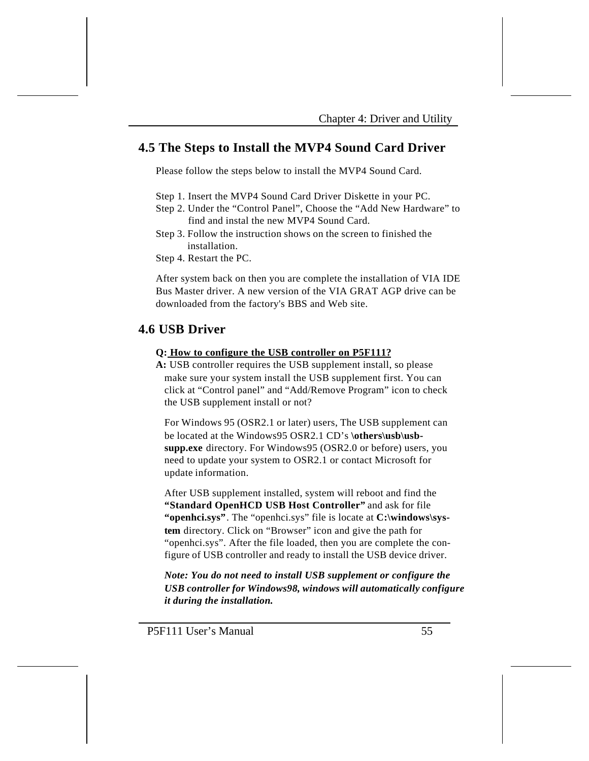## **4.5 The Steps to Install the MVP4 Sound Card Driver**

Please follow the steps below to install the MVP4 Sound Card.

- Step 1. Insert the MVP4 Sound Card Driver Diskette in your PC.
- Step 2. Under the "Control Panel", Choose the "Add New Hardware" to find and instal the new MVP4 Sound Card.
- Step 3. Follow the instruction shows on the screen to finished the installation.
- Step 4. Restart the PC.

After system back on then you are complete the installation of VIA IDE Bus Master driver. A new version of the VIA GRAT AGP drive can be downloaded from the factory's BBS and Web site.

## **4.6 USB Driver**

#### **Q: How to configure the USB controller on P5F111?**

**A:** USB controller requires the USB supplement install, so please make sure your system install the USB supplement first. You can click at "Control panel" and "Add/Remove Program" icon to check the USB supplement install or not?

For Windows 95 (OSR2.1 or later) users, The USB supplement can be located at the Windows95 OSR2.1 CD's \others\usb\usb**supp.exe** directory. For Windows95 (OSR2.0 or before) users, you need to update your system to OSR2.1 or contact Microsoft for update information.

After USB supplement installed, system will reboot and find the **"Standard OpenHCD USB Host Controller"** and ask for file "**openhci.sys**". The "openhci.sys" file is locate at **C:\windows\system** directory. Click on "Browser" icon and give the path for "openhci.sys". After the file loaded, then you are complete the configure of USB controller and ready to install the USB device driver.

*Note: You do not need to install USB supplement or configure the USB controller for Windows98, windows will automatically configure it during the installation.*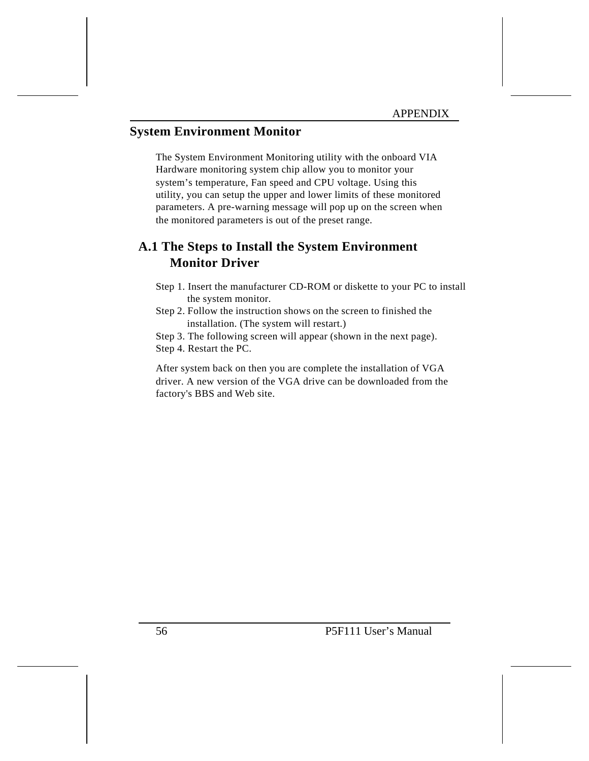# **System Environment Monitor**

The System Environment Monitoring utility with the onboard VIA Hardware monitoring system chip allow you to monitor your system's temperature, Fan speed and CPU voltage. Using this utility, you can setup the upper and lower limits of these monitored parameters. A pre-warning message will pop up on the screen when the monitored parameters is out of the preset range.

# **A.1 The Steps to Install the System Environment Monitor Driver**

- Step 1. Insert the manufacturer CD-ROM or diskette to your PC to install the system monitor.
- Step 2. Follow the instruction shows on the screen to finished the installation. (The system will restart.)

Step 3. The following screen will appear (shown in the next page).

Step 4. Restart the PC.

After system back on then you are complete the installation of VGA driver. A new version of the VGA drive can be downloaded from the factory's BBS and Web site.